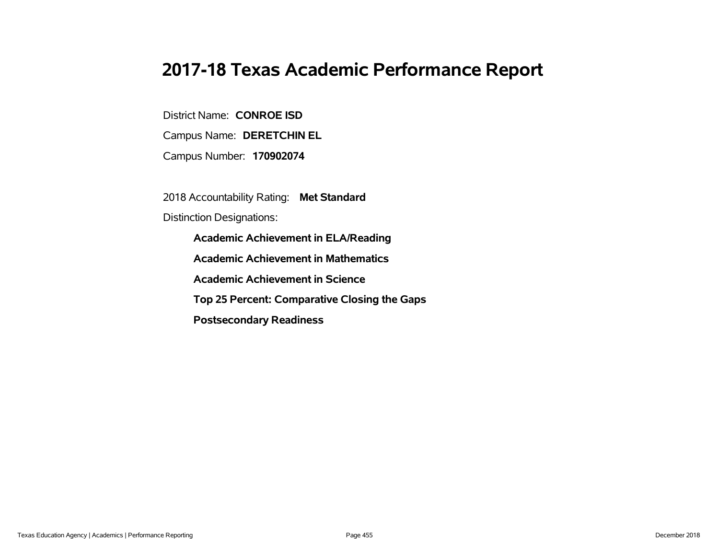# **2017-18 Texas Academic Performance Report**

District Name: **CONROE ISD**

Campus Name: **DERETCHIN EL**

Campus Number: **170902074**

2018 Accountability Rating: **Met Standard**

Distinction Designations:

**Academic Achievement in ELA/Reading**

**Academic Achievement in Mathematics**

**Academic Achievement in Science**

**Top 25 Percent: Comparative Closing the Gaps**

**Postsecondary Readiness**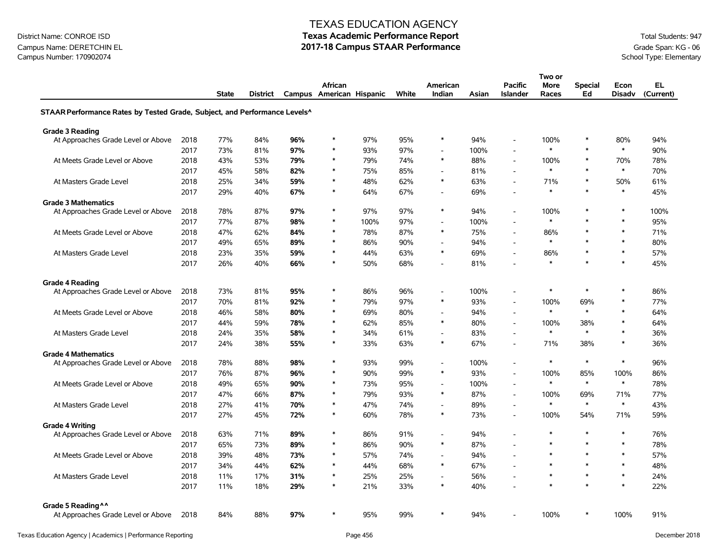### Campus Name: DERETCHIN EL **2017-18 Campus STAAR Performance** Grade Span: KG - 06<br>Campus Number: 170902074<br>School Type: Elementary Campus Number: 170902074

#### TEXAS EDUCATION AGENCY

|                                                                                       |      |              |          |     |                          |      |       |                          |       |                          | Two or      |                |               |           |
|---------------------------------------------------------------------------------------|------|--------------|----------|-----|--------------------------|------|-------|--------------------------|-------|--------------------------|-------------|----------------|---------------|-----------|
|                                                                                       |      |              |          |     | <b>African</b>           |      |       | American                 |       | <b>Pacific</b>           | <b>More</b> | <b>Special</b> | Econ          | EL.       |
|                                                                                       |      | <b>State</b> | District |     | Campus American Hispanic |      | White | Indian                   | Asian | <b>Islander</b>          | Races       | Ed             | <b>Disadv</b> | (Current) |
| STAAR Performance Rates by Tested Grade, Subject, and Performance Levels <sup>^</sup> |      |              |          |     |                          |      |       |                          |       |                          |             |                |               |           |
| <b>Grade 3 Reading</b>                                                                |      |              |          |     |                          |      |       |                          |       |                          |             |                |               |           |
| At Approaches Grade Level or Above                                                    | 2018 | 77%          | 84%      | 96% | $\ast$                   | 97%  | 95%   | $\ast$                   | 94%   | $\sim$                   | 100%        | $\ast$         | 80%           | 94%       |
|                                                                                       | 2017 | 73%          | 81%      | 97% | $\ast$                   | 93%  | 97%   | $\overline{a}$           | 100%  | $\overline{a}$           | $\ast$      | $\ast$         | $\ast$        | 90%       |
| At Meets Grade Level or Above                                                         | 2018 | 43%          | 53%      | 79% | $\ast$                   | 79%  | 74%   | $\ast$                   | 88%   | $\sim$                   | 100%        | $\ast$         | 70%           | 78%       |
|                                                                                       | 2017 | 45%          | 58%      | 82% | $\ast$                   | 75%  | 85%   | $\overline{\phantom{a}}$ | 81%   | $\overline{\phantom{a}}$ | $\star$     | $\ast$         | $\ast$        | 70%       |
| At Masters Grade Level                                                                | 2018 | 25%          | 34%      | 59% | $\ast$                   | 48%  | 62%   | $\ast$                   | 63%   | $\overline{a}$           | 71%         | $\ast$         | 50%           | 61%       |
|                                                                                       | 2017 | 29%          | 40%      | 67% | $\ast$                   | 64%  | 67%   | $\overline{a}$           | 69%   | $\overline{a}$           | $\ast$      | $\ast$         | $\ast$        | 45%       |
| <b>Grade 3 Mathematics</b>                                                            |      |              |          |     |                          |      |       |                          |       |                          |             |                |               |           |
| At Approaches Grade Level or Above                                                    | 2018 | 78%          | 87%      | 97% | $\ast$                   | 97%  | 97%   | $\ast$                   | 94%   | $\sim$                   | 100%        | $\ast$         | $\ast$        | 100%      |
|                                                                                       | 2017 | 77%          | 87%      | 98% | $\ast$                   | 100% | 97%   | $\blacksquare$           | 100%  | $\sim$                   | $\ast$      | $\ast$         | $\ast$        | 95%       |
| At Meets Grade Level or Above                                                         | 2018 | 47%          | 62%      | 84% | $\ast$                   | 78%  | 87%   | $\ast$                   | 75%   | $\sim$                   | 86%         | $\ast$         | $\ast$        | 71%       |
|                                                                                       | 2017 | 49%          | 65%      | 89% | $\ast$                   | 86%  | 90%   | $\sim$                   | 94%   | $\overline{a}$           | $\ast$      | $\ast$         | $\ast$        | 80%       |
| At Masters Grade Level                                                                | 2018 | 23%          | 35%      | 59% | $\ast$                   | 44%  | 63%   | $\ast$                   | 69%   | $\overline{a}$           | 86%         | $\ast$         | $\ast$        | 57%       |
|                                                                                       | 2017 | 26%          | 40%      | 66% | *                        | 50%  | 68%   | $\blacksquare$           | 81%   | $\overline{a}$           | $\ast$      | $\ast$         | $\ast$        | 45%       |
|                                                                                       |      |              |          |     |                          |      |       |                          |       |                          |             |                |               |           |
| <b>Grade 4 Reading</b><br>At Approaches Grade Level or Above                          | 2018 | 73%          | 81%      | 95% | $\ast$                   | 86%  | 96%   | $\blacksquare$           | 100%  | $\sim$                   | $\ast$      | $\ast$         | $\ast$        | 86%       |
|                                                                                       | 2017 | 70%          | 81%      | 92% | $\ast$                   | 79%  | 97%   | $\ast$                   | 93%   | $\overline{a}$           | 100%        | 69%            | $\ast$        | 77%       |
| At Meets Grade Level or Above                                                         | 2018 | 46%          | 58%      | 80% | $\ast$                   | 69%  | 80%   | $\overline{a}$           | 94%   | $\overline{a}$           | $\ast$      | $\ast$         | $\ast$        | 64%       |
|                                                                                       | 2017 | 44%          | 59%      | 78% | $\ast$                   | 62%  | 85%   | $\ast$                   | 80%   | $\overline{a}$           | 100%        | 38%            | $\ast$        | 64%       |
| At Masters Grade Level                                                                | 2018 | 24%          | 35%      | 58% | $\ast$                   | 34%  | 61%   | $\overline{\phantom{a}}$ | 83%   |                          | $\ast$      | $\ast$         | $\pmb{\ast}$  | 36%       |
|                                                                                       | 2017 | 24%          | 38%      | 55% | $\ast$                   | 33%  | 63%   | $\ast$                   | 67%   | $\overline{a}$           | 71%         | 38%            | $\ast$        | 36%       |
| <b>Grade 4 Mathematics</b>                                                            |      |              |          |     |                          |      |       |                          |       |                          |             |                |               |           |
| At Approaches Grade Level or Above                                                    | 2018 | 78%          | 88%      | 98% | $\ast$                   | 93%  | 99%   | $\overline{\phantom{a}}$ | 100%  | $\overline{a}$           | $\ast$      | $\ast$         | $\ast$        | 96%       |
|                                                                                       | 2017 | 76%          | 87%      | 96% | $\ast$                   | 90%  | 99%   | $\ast$                   | 93%   | $\blacksquare$           | 100%        | 85%            | 100%          | 86%       |
| At Meets Grade Level or Above                                                         | 2018 | 49%          | 65%      | 90% | $\ast$                   | 73%  | 95%   | $\blacksquare$           | 100%  | $\sim$                   | $\ast$      | $\ast$         | $\ast$        | 78%       |
|                                                                                       | 2017 | 47%          | 66%      | 87% | $\ast$                   | 79%  | 93%   | $\ast$                   | 87%   | $\sim$                   | 100%        | 69%            | 71%           | 77%       |
| At Masters Grade Level                                                                | 2018 | 27%          | 41%      | 70% | $\ast$                   | 47%  | 74%   | $\overline{\phantom{a}}$ | 89%   | $\overline{a}$           | $\ast$      | $\ast$         | $\ast$        | 43%       |
|                                                                                       | 2017 | 27%          | 45%      | 72% | *                        | 60%  | 78%   | $\ast$                   | 73%   | $\overline{a}$           | 100%        | 54%            | 71%           | 59%       |
| <b>Grade 4 Writing</b>                                                                |      |              |          |     |                          |      |       |                          |       |                          |             |                |               |           |
| At Approaches Grade Level or Above                                                    | 2018 | 63%          | 71%      | 89% | $\ast$                   | 86%  | 91%   | $\blacksquare$           | 94%   |                          | $\ast$      | $\ast$         | $\ast$        | 76%       |
|                                                                                       | 2017 | 65%          | 73%      | 89% | $\ast$                   | 86%  | 90%   | $\ast$                   | 87%   | $\sim$                   |             | $\ast$         | $\ast$        | 78%       |
| At Meets Grade Level or Above                                                         | 2018 | 39%          | 48%      | 73% | $\ast$                   | 57%  | 74%   | $\overline{\phantom{a}}$ | 94%   | $\overline{a}$           | $\ast$      | $\ast$         | $\ast$        | 57%       |
|                                                                                       | 2017 | 34%          | 44%      | 62% | $\ast$                   | 44%  | 68%   | $\ast$                   | 67%   | $\overline{\phantom{a}}$ | $\ast$      | $\ast$         | $\ast$        | 48%       |
| At Masters Grade Level                                                                | 2018 | 11%          | 17%      | 31% | $\ast$                   | 25%  | 25%   | $\blacksquare$           | 56%   | $\overline{\phantom{a}}$ | $\ast$      | $\ast$         | $\ast$        | 24%       |
|                                                                                       | 2017 | 11%          | 18%      | 29% | *                        | 21%  | 33%   | $\ast$                   | 40%   |                          | $\ast$      | $\ast$         | $\ast$        | 22%       |
|                                                                                       |      |              |          |     |                          |      |       |                          |       |                          |             |                |               |           |
| Grade 5 Reading ^^                                                                    |      |              |          |     | $\ast$                   |      |       | $\ast$                   |       |                          |             | *              |               |           |
| At Approaches Grade Level or Above                                                    | 2018 | 84%          | 88%      | 97% |                          | 95%  | 99%   |                          | 94%   |                          | 100%        |                | 100%          | 91%       |
|                                                                                       |      |              |          |     |                          |      |       |                          |       |                          |             |                |               |           |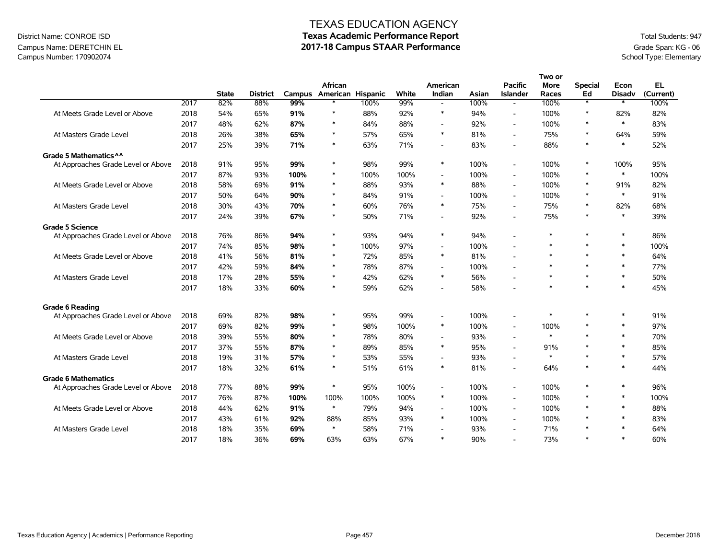## Campus Name: DERETCHIN EL **2017-18 Campus STAAR Performance** Grade Span: KG - 06<br>Campus Number: 170902074<br>School Type: Elementary Campus Number: 170902074

|                                    |      |              |                 |        |                   |      |       |                          |       |                              | Two or      |                   |               |           |
|------------------------------------|------|--------------|-----------------|--------|-------------------|------|-------|--------------------------|-------|------------------------------|-------------|-------------------|---------------|-----------|
|                                    |      |              |                 |        | African           |      |       | American                 |       | <b>Pacific</b>               | <b>More</b> | <b>Special</b>    | Econ          | EL.       |
|                                    |      | <b>State</b> | <b>District</b> | Campus | American Hispanic |      | White | Indian                   | Asian | <b>Islander</b>              | Races       | Ed                | <b>Disadv</b> | (Current) |
|                                    | 2017 | 82%          | 88%             | 99%    | $\ast$            | 100% | 99%   | $\overline{a}$           | 100%  | $\overline{a}$               | 100%        | $\overline{\ast}$ | $\ast$        | 100%      |
| At Meets Grade Level or Above      | 2018 | 54%          | 65%             | 91%    | $\ast$            | 88%  | 92%   | $\ast$                   | 94%   | $\overline{\phantom{a}}$     | 100%        | $\ast$            | 82%           | 82%       |
|                                    | 2017 | 48%          | 62%             | 87%    | $\ast$            | 84%  | 88%   | $\overline{a}$           | 92%   | ٠                            | 100%        | $\ast$            | $\ast$        | 83%       |
| At Masters Grade Level             | 2018 | 26%          | 38%             | 65%    | $\ast$            | 57%  | 65%   | $\ast$                   | 81%   | $\overline{a}$               | 75%         | $\ast$            | 64%           | 59%       |
|                                    | 2017 | 25%          | 39%             | 71%    | $\ast$            | 63%  | 71%   | $\blacksquare$           | 83%   | $\overline{\phantom{a}}$     | 88%         | $\ast$            | $\ast$        | 52%       |
| Grade 5 Mathematics ^ ^            |      |              |                 |        |                   |      |       |                          |       |                              |             |                   |               |           |
| At Approaches Grade Level or Above | 2018 | 91%          | 95%             | 99%    | $\ast$            | 98%  | 99%   | $\ast$                   | 100%  | $\blacksquare$               | 100%        | $\ast$            | 100%          | 95%       |
|                                    | 2017 | 87%          | 93%             | 100%   | $\ast$            | 100% | 100%  | $\overline{a}$           | 100%  | $\sim$                       | 100%        | $\ast$            | $\ast$        | 100%      |
| At Meets Grade Level or Above      | 2018 | 58%          | 69%             | 91%    | $\ast$            | 88%  | 93%   | $\ast$                   | 88%   | $\qquad \qquad \blacksquare$ | 100%        | $\ast$            | 91%           | 82%       |
|                                    | 2017 | 50%          | 64%             | 90%    | $\ast$            | 84%  | 91%   | $\overline{a}$           | 100%  | $\overline{a}$               | 100%        | $\ast$            | $\ast$        | 91%       |
| At Masters Grade Level             | 2018 | 30%          | 43%             | 70%    | $\ast$            | 60%  | 76%   | $\ast$                   | 75%   | $\overline{\phantom{a}}$     | 75%         | $\ast$            | 82%           | 68%       |
|                                    | 2017 | 24%          | 39%             | 67%    | $\ast$            | 50%  | 71%   | $\blacksquare$           | 92%   | ٠                            | 75%         | $\ast$            | $\ast$        | 39%       |
| <b>Grade 5 Science</b>             |      |              |                 |        |                   |      |       |                          |       |                              |             |                   |               |           |
| At Approaches Grade Level or Above | 2018 | 76%          | 86%             | 94%    | $\ast$            | 93%  | 94%   | $\ast$                   | 94%   | L,                           | $\ast$      | $\ast$            | $\ast$        | 86%       |
|                                    | 2017 | 74%          | 85%             | 98%    | $\ast$            | 100% | 97%   | $\sim$                   | 100%  |                              | *           | $\ast$            | $\ast$        | 100%      |
| At Meets Grade Level or Above      | 2018 | 41%          | 56%             | 81%    | $\ast$            | 72%  | 85%   | $\ast$                   | 81%   | ٠                            | $\ast$      | $\ast$            | $\ast$        | 64%       |
|                                    | 2017 | 42%          | 59%             | 84%    | $\ast$            | 78%  | 87%   | $\overline{\phantom{a}}$ | 100%  | ٠                            | $\ast$      | $\ast$            | $\ast$        | 77%       |
| At Masters Grade Level             | 2018 | 17%          | 28%             | 55%    | $\ast$            | 42%  | 62%   | $\ast$                   | 56%   |                              | $\ast$      | $\ast$            | $\ast$        | 50%       |
|                                    | 2017 | 18%          | 33%             | 60%    | $\ast$            | 59%  | 62%   | $\blacksquare$           | 58%   |                              | $\ast$      | $\ast$            | $\ast$        | 45%       |
| <b>Grade 6 Reading</b>             |      |              |                 |        |                   |      |       |                          |       |                              |             |                   |               |           |
| At Approaches Grade Level or Above | 2018 | 69%          | 82%             | 98%    | $\ast$            | 95%  | 99%   | $\overline{\phantom{a}}$ | 100%  | $\overline{\phantom{a}}$     | *           | $\ast$            | $\ast$        | 91%       |
|                                    | 2017 | 69%          | 82%             | 99%    | $\ast$            | 98%  | 100%  | $\ast$                   | 100%  | $\blacksquare$               | 100%        | $\ast$            | $\ast$        | 97%       |
| At Meets Grade Level or Above      | 2018 | 39%          | 55%             | 80%    | $\ast$            | 78%  | 80%   | $\blacksquare$           | 93%   | ٠                            | $\ast$      | $\ast$            | $\ast$        | 70%       |
|                                    | 2017 | 37%          | 55%             | 87%    | $\ast$            | 89%  | 85%   | $\ast$                   | 95%   | $\blacksquare$               | 91%         | $\ast$            | $\ast$        | 85%       |
| At Masters Grade Level             | 2018 | 19%          | 31%             | 57%    | $\ast$            | 53%  | 55%   | $\overline{a}$           | 93%   | ٠                            | $\ast$      | $\ast$            | $\ast$        | 57%       |
|                                    | 2017 | 18%          | 32%             | 61%    | $\ast$            | 51%  | 61%   | $\ast$                   | 81%   | ٠                            | 64%         | $\ast$            | $\ast$        | 44%       |
| <b>Grade 6 Mathematics</b>         |      |              |                 |        |                   |      |       |                          |       |                              |             |                   |               |           |
| At Approaches Grade Level or Above | 2018 | 77%          | 88%             | 99%    | $\ast$            | 95%  | 100%  | $\overline{\phantom{a}}$ | 100%  | $\blacksquare$               | 100%        | $\ast$            | $\ast$        | 96%       |
|                                    | 2017 | 76%          | 87%             | 100%   | 100%              | 100% | 100%  | $\ast$                   | 100%  | $\overline{\phantom{a}}$     | 100%        | $\ast$            | $\ast$        | 100%      |
| At Meets Grade Level or Above      | 2018 | 44%          | 62%             | 91%    | $\ast$            | 79%  | 94%   | $\blacksquare$           | 100%  | $\qquad \qquad \blacksquare$ | 100%        | $\ast$            | $\ast$        | 88%       |
|                                    | 2017 | 43%          | 61%             | 92%    | 88%               | 85%  | 93%   | $\ast$                   | 100%  | $\sim$                       | 100%        | $\ast$            | $\ast$        | 83%       |
| At Masters Grade Level             | 2018 | 18%          | 35%             | 69%    | $\ast$            | 58%  | 71%   |                          | 93%   | $\qquad \qquad \blacksquare$ | 71%         | $\ast$            | $\ast$        | 64%       |
|                                    | 2017 | 18%          | 36%             | 69%    | 63%               | 63%  | 67%   | $\ast$                   | 90%   |                              | 73%         | $\ast$            | $\ast$        | 60%       |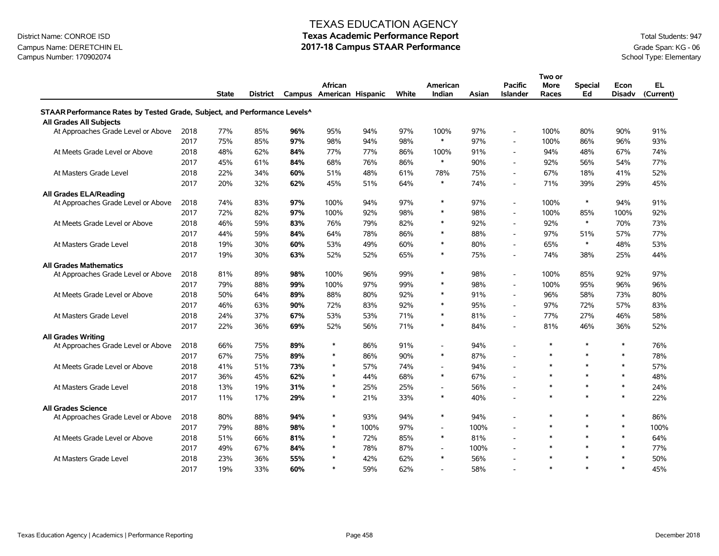### Campus Name: DERETCHIN EL **2017-18 Campus STAAR Performance** Grade Span: KG - 06<br>Campus Number: 170902074<br>School Type: Elementary Campus Number: 170902074

#### TEXAS EDUCATION AGENCY

|                                                                                       |      |              |                 |     |                                     |      |       |                    |       |                                   | Two or               |                      |                       |                  |
|---------------------------------------------------------------------------------------|------|--------------|-----------------|-----|-------------------------------------|------|-------|--------------------|-------|-----------------------------------|----------------------|----------------------|-----------------------|------------------|
|                                                                                       |      | <b>State</b> | <b>District</b> |     | African<br>Campus American Hispanic |      | White | American<br>Indian | Asian | <b>Pacific</b><br><b>Islander</b> | <b>More</b><br>Races | <b>Special</b><br>Ed | Econ<br><b>Disady</b> | EL.<br>(Current) |
| STAAR Performance Rates by Tested Grade, Subject, and Performance Levels <sup>^</sup> |      |              |                 |     |                                     |      |       |                    |       |                                   |                      |                      |                       |                  |
| All Grades All Subjects                                                               |      |              |                 |     |                                     |      |       |                    |       |                                   |                      |                      |                       |                  |
| At Approaches Grade Level or Above                                                    | 2018 | 77%          | 85%             | 96% | 95%                                 | 94%  | 97%   | 100%               | 97%   |                                   | 100%                 | 80%                  | 90%                   | 91%              |
|                                                                                       | 2017 | 75%          | 85%             | 97% | 98%                                 | 94%  | 98%   | $\ast$             | 97%   |                                   | 100%                 | 86%                  | 96%                   | 93%              |
| At Meets Grade Level or Above                                                         | 2018 | 48%          | 62%             | 84% | 77%                                 | 77%  | 86%   | 100%               | 91%   |                                   | 94%                  | 48%                  | 67%                   | 74%              |
|                                                                                       | 2017 | 45%          | 61%             | 84% | 68%                                 | 76%  | 86%   | $\ast$             | 90%   |                                   | 92%                  | 56%                  | 54%                   | 77%              |
| At Masters Grade Level                                                                | 2018 | 22%          | 34%             | 60% | 51%                                 | 48%  | 61%   | 78%                | 75%   |                                   | 67%                  | 18%                  | 41%                   | 52%              |
|                                                                                       | 2017 | 20%          | 32%             | 62% | 45%                                 | 51%  | 64%   | $\ast$             | 74%   |                                   | 71%                  | 39%                  | 29%                   | 45%              |
| <b>All Grades ELA/Reading</b>                                                         |      |              |                 |     |                                     |      |       |                    |       |                                   |                      |                      |                       |                  |
| At Approaches Grade Level or Above                                                    | 2018 | 74%          | 83%             | 97% | 100%                                | 94%  | 97%   | $\ast$             | 97%   |                                   | 100%                 | $\ast$               | 94%                   | 91%              |
|                                                                                       | 2017 | 72%          | 82%             | 97% | 100%                                | 92%  | 98%   | $\ast$             | 98%   |                                   | 100%                 | 85%                  | 100%                  | 92%              |
| At Meets Grade Level or Above                                                         | 2018 | 46%          | 59%             | 83% | 76%                                 | 79%  | 82%   | $\ast$             | 92%   |                                   | 92%                  | $\ast$               | 70%                   | 73%              |
|                                                                                       | 2017 | 44%          | 59%             | 84% | 64%                                 | 78%  | 86%   | $\ast$             | 88%   |                                   | 97%                  | 51%                  | 57%                   | 77%              |
| At Masters Grade Level                                                                | 2018 | 19%          | 30%             | 60% | 53%                                 | 49%  | 60%   | $\ast$             | 80%   |                                   | 65%                  | $\ast$               | 48%                   | 53%              |
|                                                                                       | 2017 | 19%          | 30%             | 63% | 52%                                 | 52%  | 65%   | $\ast$             | 75%   |                                   | 74%                  | 38%                  | 25%                   | 44%              |
| <b>All Grades Mathematics</b>                                                         |      |              |                 |     |                                     |      |       |                    |       |                                   |                      |                      |                       |                  |
| At Approaches Grade Level or Above                                                    | 2018 | 81%          | 89%             | 98% | 100%                                | 96%  | 99%   | $\ast$             | 98%   | $\sim$                            | 100%                 | 85%                  | 92%                   | 97%              |
|                                                                                       | 2017 | 79%          | 88%             | 99% | 100%                                | 97%  | 99%   | $\ast$             | 98%   |                                   | 100%                 | 95%                  | 96%                   | 96%              |
| At Meets Grade Level or Above                                                         | 2018 | 50%          | 64%             | 89% | 88%                                 | 80%  | 92%   | $\ast$             | 91%   |                                   | 96%                  | 58%                  | 73%                   | 80%              |
|                                                                                       | 2017 | 46%          | 63%             | 90% | 72%                                 | 83%  | 92%   | $\ast$             | 95%   |                                   | 97%                  | 72%                  | 57%                   | 83%              |
| At Masters Grade Level                                                                | 2018 | 24%          | 37%             | 67% | 53%                                 | 53%  | 71%   | $\ast$             | 81%   |                                   | 77%                  | 27%                  | 46%                   | 58%              |
|                                                                                       | 2017 | 22%          | 36%             | 69% | 52%                                 | 56%  | 71%   | $\ast$             | 84%   |                                   | 81%                  | 46%                  | 36%                   | 52%              |
| <b>All Grades Writing</b>                                                             |      |              |                 |     |                                     |      |       |                    |       |                                   |                      |                      |                       |                  |
| At Approaches Grade Level or Above                                                    | 2018 | 66%          | 75%             | 89% | $\ast$                              | 86%  | 91%   | $\overline{a}$     | 94%   |                                   | $\ast$               | $\ast$               | $\ast$                | 76%              |
|                                                                                       | 2017 | 67%          | 75%             | 89% | $\ast$                              | 86%  | 90%   | $\ast$             | 87%   |                                   | $\ast$               | $\ast$               | $\ast$                | 78%              |
| At Meets Grade Level or Above                                                         | 2018 | 41%          | 51%             | 73% | $\ast$                              | 57%  | 74%   | $\overline{a}$     | 94%   |                                   | $\ast$               | $\ast$               | $\ast$                | 57%              |
|                                                                                       | 2017 | 36%          | 45%             | 62% | $\ast$                              | 44%  | 68%   | $\ast$             | 67%   |                                   | $\ast$               | $\ast$               | $\ast$                | 48%              |
| At Masters Grade Level                                                                | 2018 | 13%          | 19%             | 31% | $\ast$                              | 25%  | 25%   | $\overline{a}$     | 56%   |                                   | $\ast$               | $\ast$               | $\ast$                | 24%              |
|                                                                                       | 2017 | 11%          | 17%             | 29% | $\ast$                              | 21%  | 33%   | $\ast$             | 40%   |                                   | $\ast$               | $\ast$               | $\ast$                | 22%              |
| <b>All Grades Science</b>                                                             |      |              |                 |     |                                     |      |       |                    |       |                                   |                      |                      |                       |                  |
| At Approaches Grade Level or Above                                                    | 2018 | 80%          | 88%             | 94% | $\ast$                              | 93%  | 94%   | $\ast$             | 94%   |                                   | $\ast$               | $\ast$               | $\ast$                | 86%              |
|                                                                                       | 2017 | 79%          | 88%             | 98% | $\ast$                              | 100% | 97%   | $\overline{a}$     | 100%  |                                   | $\ast$               | $\ast$               | $\ast$                | 100%             |
| At Meets Grade Level or Above                                                         | 2018 | 51%          | 66%             | 81% | $\ast$                              | 72%  | 85%   | $\ast$             | 81%   |                                   | $\ast$               | $\ast$               | $\ast$                | 64%              |
|                                                                                       | 2017 | 49%          | 67%             | 84% | $\ast$                              | 78%  | 87%   | $\blacksquare$     | 100%  |                                   | $\ast$               | $\ast$               | $\ast$                | 77%              |
| At Masters Grade Level                                                                | 2018 | 23%          | 36%             | 55% | $\ast$                              | 42%  | 62%   | $\ast$             | 56%   |                                   | $\ast$               | $\ast$               | $\ast$                | 50%              |
|                                                                                       | 2017 | 19%          | 33%             | 60% | $\ast$                              | 59%  | 62%   |                    | 58%   |                                   | $\ast$               | $\ast$               | $\ast$                | 45%              |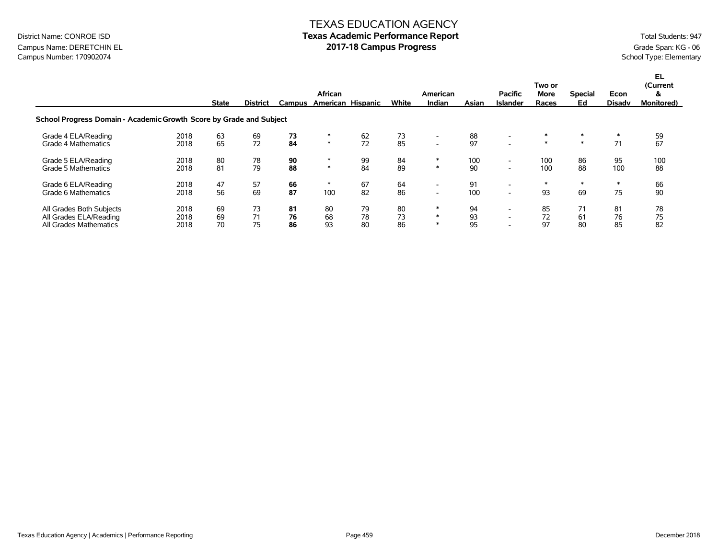### Campus Name: DERETCHIN EL **2017-18 Campus Progress** Grade Span: KG - 06<br>Campus Number: 170902074<br>School Type: Elementary Campus Number: 170902074

|                                                                              |                      | <b>State</b>   | <b>District</b> | Campus         | African        | American Hispanic | White          | American<br>Indian       | Asian          | <b>Pacific</b><br><b>Islander</b>                    | Two or<br><b>More</b><br>Races | <b>Special</b><br>Ed | Econ<br>Disadv | EL.<br>(Current<br>&<br><b>Monitored</b> ) |
|------------------------------------------------------------------------------|----------------------|----------------|-----------------|----------------|----------------|-------------------|----------------|--------------------------|----------------|------------------------------------------------------|--------------------------------|----------------------|----------------|--------------------------------------------|
| School Progress Domain - Academic Growth Score by Grade and Subject          |                      |                |                 |                |                |                   |                |                          |                |                                                      |                                |                      |                |                                            |
| Grade 4 ELA/Reading                                                          | 2018                 | 63             | 69              | 73             | ∗              | 62                | 73             | $\overline{\phantom{a}}$ | 88             |                                                      | $\ast$                         | $\ast$               | $\ast$         | 59                                         |
| Grade 4 Mathematics                                                          | 2018                 | 65             | 72              | 84             | $\ast$         | 72                | 85             | $\overline{\phantom{a}}$ | 97             |                                                      | $\ast$                         | $\ast$               | 71             | 67                                         |
| Grade 5 ELA/Reading                                                          | 2018                 | 80             | 78              | 90             | $\ast$         | 99                | 84             | ∗                        | 100            | $\sim$                                               | 100                            | 86                   | 95             | 100                                        |
| Grade 5 Mathematics                                                          | 2018                 | 81             | 79              | 88             | $\ast$         | 84                | 89             | $\ast$                   | 90             | $\overline{\phantom{0}}$                             | 100                            | 88                   | 100            | 88                                         |
| Grade 6 ELA/Reading                                                          | 2018                 | 47             | 57              | 66             | $\ast$         | 67                | 64             | $\overline{\phantom{a}}$ | 91             | $\overline{\phantom{0}}$                             | $\ast$                         | $\ast$               | $\ast$         | 66                                         |
| Grade 6 Mathematics                                                          | 2018                 | 56             | 69              | 87             | 100            | 82                | 86             | $\overline{\phantom{a}}$ | 100            | $\sim$                                               | 93                             | 69                   | 75             | 90                                         |
| All Grades Both Subjects<br>All Grades ELA/Reading<br>All Grades Mathematics | 2018<br>2018<br>2018 | 69<br>69<br>70 | 73<br>71<br>75  | 81<br>76<br>86 | 80<br>68<br>93 | 79<br>78<br>80    | 80<br>73<br>86 | $\ast$<br>$*$<br>$\ast$  | 94<br>93<br>95 | $\overline{\phantom{0}}$<br>$\overline{\phantom{0}}$ | 85<br>72<br>97                 | 71<br>61<br>80       | 81<br>76<br>85 | 78<br>75<br>82                             |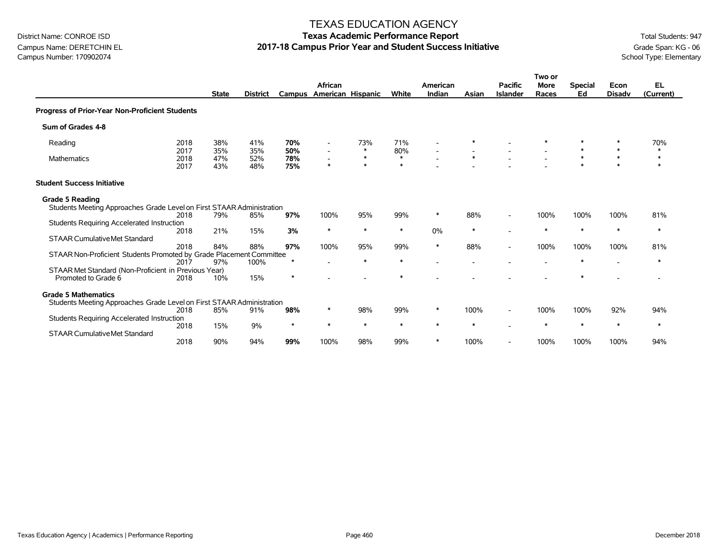### Campus Name: DERETCHIN EL **2017-18 Campus Prior Year and Student Success Initiative** Grade Span: KG - 06 Campus Number: 170902074<br>School Type: Elementary Campus Number: 170902074

#### TEXAS EDUCATION AGENCY

|                                                                       |                      |                   |                   |                   |                                                                |                            |                         |                    |        |                                   | Two or               |                      |                       |                            |
|-----------------------------------------------------------------------|----------------------|-------------------|-------------------|-------------------|----------------------------------------------------------------|----------------------------|-------------------------|--------------------|--------|-----------------------------------|----------------------|----------------------|-----------------------|----------------------------|
|                                                                       |                      | <b>State</b>      | <b>District</b>   |                   | African<br>Campus American Hispanic                            |                            | White                   | American<br>Indian | Asian  | <b>Pacific</b><br><b>Islander</b> | <b>More</b><br>Races | <b>Special</b><br>Ed | Econ<br><b>Disadv</b> | <b>EL</b><br>(Current)     |
|                                                                       |                      |                   |                   |                   |                                                                |                            |                         |                    |        |                                   |                      |                      |                       |                            |
| Progress of Prior-Year Non-Proficient Students                        |                      |                   |                   |                   |                                                                |                            |                         |                    |        |                                   |                      |                      |                       |                            |
| Sum of Grades 4-8                                                     |                      |                   |                   |                   |                                                                |                            |                         |                    |        |                                   |                      |                      |                       |                            |
| Reading                                                               | 2018                 | 38%               | 41%               | 70%               | $\overline{\phantom{a}}$                                       | 73%                        | 71%                     |                    |        |                                   |                      |                      |                       | 70%                        |
| <b>Mathematics</b>                                                    | 2017<br>2018<br>2017 | 35%<br>47%<br>43% | 35%<br>52%<br>48% | 50%<br>78%<br>75% | $\overline{\phantom{a}}$<br>$\overline{\phantom{a}}$<br>$\ast$ | $\ast$<br>$\ast$<br>$\ast$ | 80%<br>$\ast$<br>$\ast$ |                    | $\ast$ |                                   |                      | $\ast$<br>$\star$    | $\ast$                | $\ast$<br>$\ast$<br>$\ast$ |
| <b>Student Success Initiative</b>                                     |                      |                   |                   |                   |                                                                |                            |                         |                    |        |                                   |                      |                      |                       |                            |
| <b>Grade 5 Reading</b>                                                |                      |                   |                   |                   |                                                                |                            |                         |                    |        |                                   |                      |                      |                       |                            |
| Students Meeting Approaches Grade Level on First STAAR Administration |                      |                   |                   |                   |                                                                |                            |                         |                    |        |                                   |                      |                      |                       |                            |
|                                                                       | 2018                 | 79%               | 85%               | 97%               | 100%                                                           | 95%                        | 99%                     | $\ast$             | 88%    |                                   | 100%                 | 100%                 | 100%                  | 81%                        |
| Students Requiring Accelerated Instruction                            | 2018                 | 21%               | 15%               | 3%                | $\ast$                                                         | $\ast$                     | $\ast$                  | 0%                 | $\ast$ |                                   | $\ast$               | $\ast$               | $\ast$                | $\ast$                     |
| <b>STAAR Cumulative Met Standard</b>                                  |                      |                   |                   |                   |                                                                |                            |                         |                    |        |                                   |                      |                      |                       |                            |
|                                                                       | 2018                 | 84%               | 88%               | 97%               | 100%                                                           | 95%                        | 99%                     | $\ast$             | 88%    | $\overline{\phantom{a}}$          | 100%                 | 100%                 | 100%                  | 81%                        |
| STAAR Non-Proficient Students Promoted by Grade Placement Committee   |                      |                   |                   |                   |                                                                |                            |                         |                    |        |                                   |                      |                      |                       |                            |
|                                                                       | 2017                 | 97%               | 100%              |                   |                                                                | $\ast$                     | $\ast$                  |                    |        |                                   |                      | ∗                    |                       | $\ast$                     |
| STAAR Met Standard (Non-Proficient in Previous Year)                  |                      |                   |                   |                   |                                                                |                            |                         |                    |        |                                   |                      |                      |                       |                            |
| Promoted to Grade 6                                                   | 2018                 | 10%               | 15%               | $\star$           |                                                                |                            | $\ast$                  |                    |        |                                   |                      |                      |                       |                            |
| <b>Grade 5 Mathematics</b>                                            |                      |                   |                   |                   |                                                                |                            |                         |                    |        |                                   |                      |                      |                       |                            |
| Students Meeting Approaches Grade Level on First STAAR Administration |                      |                   |                   |                   |                                                                |                            |                         |                    |        |                                   |                      |                      |                       |                            |
|                                                                       | 2018                 | 85%               | 91%               | 98%               | $\ast$                                                         | 98%                        | 99%                     | $\ast$             | 100%   |                                   | 100%                 | 100%                 | 92%                   | 94%                        |
| Students Requiring Accelerated Instruction                            |                      |                   |                   |                   |                                                                |                            |                         |                    |        |                                   |                      |                      |                       |                            |
|                                                                       | 2018                 | 15%               | 9%                | $\star$           | $\ast$                                                         | $\ast$                     | $\ast$                  | $\ast$             | $\ast$ |                                   | ∗                    | $\ast$               | $\ast$                | $\ast$                     |
| <b>STAAR Cumulative Met Standard</b>                                  | 2018                 | 90%               | 94%               | 99%               | 100%                                                           | 98%                        | 99%                     | $\ast$             | 100%   | $\overline{\phantom{a}}$          | 100%                 | 100%                 | 100%                  | 94%                        |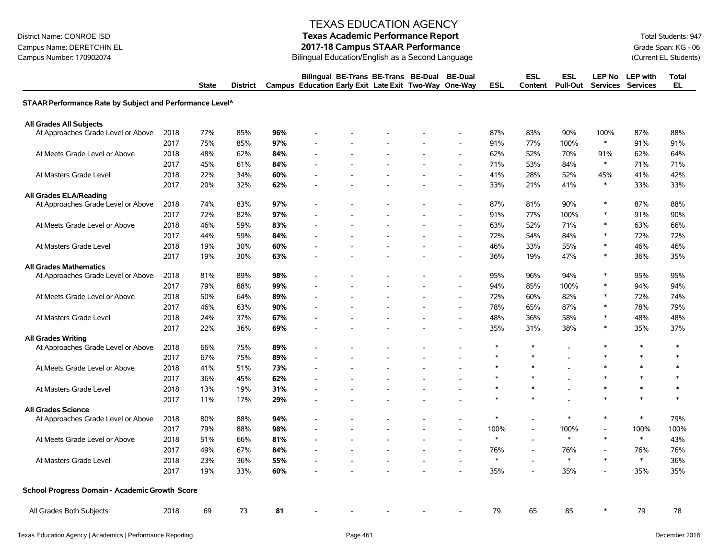Campus Name: DERETCHIN EL **2017-18 Campus STAAR Performance**<br>Campus Number: 170902074 Current EL Students) Bilingual Education/English as a Second Language (Current EL Students)

#### TEXAS EDUCATION AGENCY

# District Name: CONROE ISD **Texas Academic Performance Report Texas Academic Performance Report** Total Students: 947

Bilingual Education/English as a Second Language

|                                                          |      | <b>State</b> | <b>District</b> |     | Bilingual BE-Trans BE-Trans BE-Dual<br>Campus Education Early Exit Late Exit Two-Way One-Way |  | <b>BE-Dual</b>           | <b>ESL</b> | <b>ESL</b><br>Content    | <b>ESL</b><br><b>Pull-Out</b> | LEP No                   | <b>LEP</b> with<br>Services Services | <b>Total</b><br>EL |
|----------------------------------------------------------|------|--------------|-----------------|-----|----------------------------------------------------------------------------------------------|--|--------------------------|------------|--------------------------|-------------------------------|--------------------------|--------------------------------------|--------------------|
| STAAR Performance Rate by Subject and Performance Level^ |      |              |                 |     |                                                                                              |  |                          |            |                          |                               |                          |                                      |                    |
| <b>All Grades All Subjects</b>                           |      |              |                 |     |                                                                                              |  |                          |            |                          |                               |                          |                                      |                    |
| At Approaches Grade Level or Above                       | 2018 | 77%          | 85%             | 96% |                                                                                              |  |                          | 87%        | 83%                      | 90%                           | 100%                     | 87%                                  | 88%                |
|                                                          | 2017 | 75%          | 85%             | 97% |                                                                                              |  |                          | 91%        | 77%                      | 100%                          | $\ast$                   | 91%                                  | 91%                |
| At Meets Grade Level or Above                            | 2018 | 48%          | 62%             | 84% |                                                                                              |  |                          | 62%        | 52%                      | 70%                           | 91%                      | 62%                                  | 64%                |
|                                                          | 2017 | 45%          | 61%             | 84% |                                                                                              |  | $\sim$                   | 71%        | 53%                      | 84%                           | $\ast$                   | 71%                                  | 71%                |
| At Masters Grade Level                                   | 2018 | 22%          | 34%             | 60% |                                                                                              |  | $\blacksquare$           | 41%        | 28%                      | 52%                           | 45%                      | 41%                                  | 42%                |
|                                                          | 2017 | 20%          | 32%             | 62% |                                                                                              |  |                          | 33%        | 21%                      | 41%                           | $\ast$                   | 33%                                  | 33%                |
| <b>All Grades ELA/Reading</b>                            |      |              |                 |     |                                                                                              |  |                          |            |                          |                               |                          |                                      |                    |
| At Approaches Grade Level or Above                       | 2018 | 74%          | 83%             | 97% |                                                                                              |  |                          | 87%        | 81%                      | 90%                           | $\ast$                   | 87%                                  | 88%                |
|                                                          | 2017 | 72%          | 82%             | 97% |                                                                                              |  |                          | 91%        | 77%                      | 100%                          | $\ast$                   | 91%                                  | 90%                |
| At Meets Grade Level or Above                            | 2018 | 46%          | 59%             | 83% |                                                                                              |  |                          | 63%        | 52%                      | 71%                           | $\ast$                   | 63%                                  | 66%                |
|                                                          | 2017 | 44%          | 59%             | 84% |                                                                                              |  | $\blacksquare$           | 72%        | 54%                      | 84%                           | $\ast$                   | 72%                                  | 72%                |
| At Masters Grade Level                                   | 2018 | 19%          | 30%             | 60% |                                                                                              |  |                          | 46%        | 33%                      | 55%                           | $\ast$                   | 46%                                  | 46%                |
|                                                          | 2017 | 19%          | 30%             | 63% |                                                                                              |  |                          | 36%        | 19%                      | 47%                           | $\ast$                   | 36%                                  | 35%                |
| <b>All Grades Mathematics</b>                            |      |              |                 |     |                                                                                              |  |                          |            |                          |                               |                          |                                      |                    |
| At Approaches Grade Level or Above                       | 2018 | 81%          | 89%             | 98% |                                                                                              |  |                          | 95%        | 96%                      | 94%                           | $\ast$                   | 95%                                  | 95%                |
|                                                          | 2017 | 79%          | 88%             | 99% |                                                                                              |  | Ĭ.                       | 94%        | 85%                      | 100%                          | $\ast$                   | 94%                                  | 94%                |
| At Meets Grade Level or Above                            | 2018 | 50%          | 64%             | 89% |                                                                                              |  | $\blacksquare$           | 72%        | 60%                      | 82%                           | $\ast$                   | 72%                                  | 74%                |
|                                                          | 2017 | 46%          | 63%             | 90% |                                                                                              |  | $\blacksquare$           | 78%        | 65%                      | 87%                           | $\ast$                   | 78%                                  | 79%                |
| At Masters Grade Level                                   | 2018 | 24%          | 37%             | 67% |                                                                                              |  |                          | 48%        | 36%                      | 58%                           | $\ast$                   | 48%                                  | 48%                |
|                                                          | 2017 | 22%          | 36%             | 69% |                                                                                              |  |                          | 35%        | 31%                      | 38%                           | $\ast$                   | 35%                                  | 37%                |
| <b>All Grades Writing</b>                                |      |              |                 |     |                                                                                              |  |                          |            |                          |                               |                          |                                      |                    |
| At Approaches Grade Level or Above                       | 2018 | 66%          | 75%             | 89% |                                                                                              |  |                          | $\ast$     | $\ast$                   |                               | $\ast$                   | $\ast$                               | $\ast$             |
|                                                          | 2017 | 67%          | 75%             | 89% |                                                                                              |  |                          | $\ast$     | $\ast$                   |                               | $\ast$                   | $\ast$                               | $\ast$             |
| At Meets Grade Level or Above                            | 2018 | 41%          | 51%             | 73% |                                                                                              |  |                          |            | $\ast$                   |                               | $\ast$                   | $\ast$                               | $\ast$             |
|                                                          | 2017 | 36%          | 45%             | 62% |                                                                                              |  |                          |            |                          |                               | $\ast$                   | $\ast$                               | $\ast$             |
| At Masters Grade Level                                   | 2018 | 13%          | 19%             | 31% |                                                                                              |  |                          | $\ast$     | $\ast$                   |                               | $\ast$                   | $\ast$                               | $\ast$             |
|                                                          | 2017 | 11%          | 17%             | 29% |                                                                                              |  |                          |            |                          |                               | $\ast$                   | $\ast$                               | $\ast$             |
| <b>All Grades Science</b>                                |      |              |                 |     |                                                                                              |  |                          |            |                          |                               |                          |                                      |                    |
| At Approaches Grade Level or Above                       | 2018 | 80%          | 88%             | 94% |                                                                                              |  |                          | $\ast$     |                          | $\ast$                        | $\ast$                   | $\ast$                               | 79%                |
|                                                          | 2017 | 79%          | 88%             | 98% |                                                                                              |  | $\overline{\phantom{a}}$ | 100%       | $\overline{\phantom{a}}$ | 100%                          | $\overline{\phantom{m}}$ | 100%                                 | 100%               |
| At Meets Grade Level or Above                            | 2018 | 51%          | 66%             | 81% |                                                                                              |  |                          | $\ast$     |                          | $\ast$                        | $\ast$                   | $\ast$                               | 43%                |
|                                                          | 2017 | 49%          | 67%             | 84% |                                                                                              |  | $\overline{\phantom{a}}$ | 76%        | $\overline{\phantom{a}}$ | 76%                           | $\overline{\phantom{a}}$ | 76%                                  | 76%                |
| At Masters Grade Level                                   | 2018 | 23%          | 36%             | 55% |                                                                                              |  | $\overline{\phantom{a}}$ | $\ast$     | $\overline{a}$           | $\ast$                        | $\ast$                   | $\ast$                               | 36%                |
|                                                          | 2017 | 19%          | 33%             | 60% |                                                                                              |  | $\overline{\phantom{a}}$ | 35%        | $\overline{\phantom{a}}$ | 35%                           | $\overline{a}$           | 35%                                  | 35%                |
| School Progress Domain - Academic Growth Score           |      |              |                 |     |                                                                                              |  |                          |            |                          |                               |                          |                                      |                    |
| All Grades Both Subjects                                 | 2018 | 69           | 73              | 81  |                                                                                              |  |                          | 79         | 65                       | 85                            |                          | 79                                   | 78                 |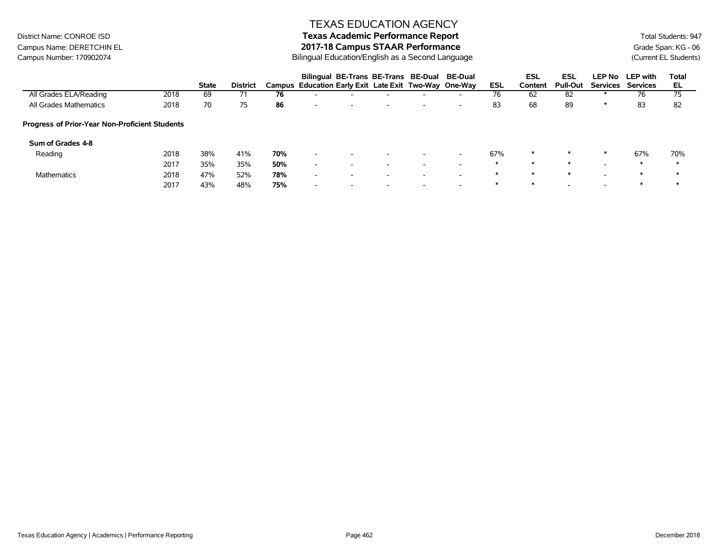# District Name: CONROE ISD **Texas Academic Performance Report Texas Academic Performance Report** Total Students: 947

Campus Name: DERETCHIN EL **2017-18 Campus STAAR Performance**<br>Campus Number: 170902074 Current EL Students) Bilingual Education/English as a Second Language (Current EL Students) Bilingual Education/English as a Second Language

|                                                       |      |              |                 |     | Bilingual BE-Trans BE-Trans BE-Dual BE-Dual           |                          |                          |                          |                          |        | <b>ESL</b> | <b>ESL</b>               | <b>LEP No</b>            | <b>LEP</b> with | Total |
|-------------------------------------------------------|------|--------------|-----------------|-----|-------------------------------------------------------|--------------------------|--------------------------|--------------------------|--------------------------|--------|------------|--------------------------|--------------------------|-----------------|-------|
|                                                       |      | <b>State</b> | <b>District</b> |     | Campus Education Early Exit Late Exit Two-Way One-Way |                          |                          |                          |                          | ESL    | Content    | <b>Pull-Out</b>          | Services                 | <b>Services</b> | EL    |
| All Grades ELA/Reading                                | 2018 | 69           | 71              | 76  |                                                       |                          |                          | $\overline{\phantom{a}}$ | $\overline{\phantom{0}}$ | 76     | 62         | 82                       |                          | 76              | 75    |
| All Grades Mathematics                                | 2018 | 70           | 75              | 86  | $\overline{\phantom{a}}$                              | $\overline{\phantom{a}}$ | $\overline{\phantom{a}}$ | $\overline{\phantom{a}}$ | $\overline{\phantom{0}}$ | 83     | 68         | 89                       | ∗                        | 83              | 82    |
| <b>Progress of Prior-Year Non-Proficient Students</b> |      |              |                 |     |                                                       |                          |                          |                          |                          |        |            |                          |                          |                 |       |
| Sum of Grades 4-8                                     |      |              |                 |     |                                                       |                          |                          |                          |                          |        |            |                          |                          |                 |       |
| Reading                                               | 2018 | 38%          | 41%             | 70% | $\overline{\phantom{a}}$                              | $\overline{\phantom{a}}$ | $\overline{\phantom{a}}$ | $\overline{\phantom{0}}$ | $\overline{\phantom{0}}$ | 67%    | $\ast$     | $\ast$                   | $\ast$                   | 67%             | 70%   |
|                                                       | 2017 | 35%          | 35%             | 50% | $\overline{\phantom{a}}$                              | $\overline{\phantom{0}}$ | $\overline{\phantom{0}}$ | $\overline{\phantom{0}}$ | $\overline{\phantom{a}}$ | $\ast$ | $\ast$     | $\ast$                   | $\overline{\phantom{0}}$ | ∗               | ж     |
| <b>Mathematics</b>                                    | 2018 | 47%          | 52%             | 78% | $\overline{\phantom{0}}$                              | $\overline{\phantom{a}}$ | -                        | $\overline{\phantom{a}}$ | $\overline{\phantom{a}}$ | $\ast$ | $\ast$     | $\ast$                   | $\overline{\phantom{0}}$ | ∗               | ж     |
|                                                       | 2017 | 43%          | 48%             | 75% | $\overline{\phantom{a}}$                              | $\overline{\phantom{a}}$ | $\overline{\phantom{a}}$ | $\overline{\phantom{a}}$ | $\overline{\phantom{a}}$ | ∗      | ∗          | $\overline{\phantom{0}}$ |                          | ∗               | ж     |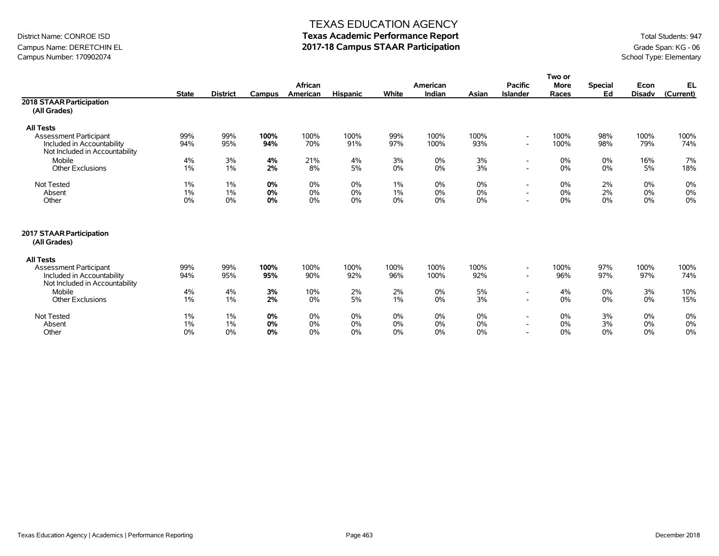## Campus Name: DERETCHIN EL **2017-18 Campus STAAR Participation**<br>Campus Number: 170902074<br>School Type: Elementary Campus Number: 170902074

#### TEXAS EDUCATION AGENCY

|                                                                                               |              |                 |               |             |                 |             |              |             |                                                      | Two or      |                |               |             |
|-----------------------------------------------------------------------------------------------|--------------|-----------------|---------------|-------------|-----------------|-------------|--------------|-------------|------------------------------------------------------|-------------|----------------|---------------|-------------|
|                                                                                               |              |                 |               | African     |                 |             | American     |             | <b>Pacific</b>                                       | <b>More</b> | <b>Special</b> | Econ          | EL          |
|                                                                                               | <b>State</b> | <b>District</b> | <b>Campus</b> | American    | <b>Hispanic</b> | White       | Indian       | Asian       | <b>Islander</b>                                      | Races       | Ed             | <b>Disadv</b> | (Current)   |
| 2018 STAAR Participation                                                                      |              |                 |               |             |                 |             |              |             |                                                      |             |                |               |             |
| (All Grades)                                                                                  |              |                 |               |             |                 |             |              |             |                                                      |             |                |               |             |
| <b>All Tests</b>                                                                              |              |                 |               |             |                 |             |              |             |                                                      |             |                |               |             |
| <b>Assessment Participant</b>                                                                 | 99%          | 99%             | 100%          | 100%        | 100%            | 99%         | 100%         | 100%        | $\overline{\phantom{a}}$                             | 100%        | 98%            | 100%          | 100%        |
| Included in Accountability<br>Not Included in Accountability                                  | 94%          | 95%             | 94%           | 70%         | 91%             | 97%         | 100%         | 93%         | $\overline{\phantom{a}}$                             | 100%        | 98%            | 79%           | 74%         |
| Mobile                                                                                        | 4%           | 3%              | 4%            | 21%         | 4%              | 3%          | 0%           | 3%          | -                                                    | 0%          | 0%             | 16%           | 7%          |
| <b>Other Exclusions</b>                                                                       | 1%           | 1%              | 2%            | 8%          | 5%              | 0%          | 0%           | 3%          | -                                                    | 0%          | 0%             | 5%            | 18%         |
| <b>Not Tested</b>                                                                             | 1%           | 1%              | 0%            | 0%          | $0\%$           | 1%          | 0%           | $0\%$       | $\overline{\phantom{a}}$                             | 0%          | 2%             | 0%            | 0%          |
| Absent                                                                                        | $1\%$        | 1%              | 0%            | 0%          | 0%              | 1%          | 0%           | $0\%$       | -                                                    | 0%          | 2%             | 0%            | $0\%$       |
| Other                                                                                         | 0%           | 0%              | 0%            | 0%          | $0\%$           | 0%          | 0%           | $0\%$       | $\overline{\phantom{a}}$                             | 0%          | 0%             | 0%            | 0%          |
| 2017 STAAR Participation<br>(All Grades)                                                      |              |                 |               |             |                 |             |              |             |                                                      |             |                |               |             |
| <b>All Tests</b>                                                                              |              |                 |               |             |                 |             |              |             |                                                      |             |                |               |             |
| <b>Assessment Participant</b><br>Included in Accountability<br>Not Included in Accountability | 99%<br>94%   | 99%<br>95%      | 100%<br>95%   | 100%<br>90% | 100%<br>92%     | 100%<br>96% | 100%<br>100% | 100%<br>92% | $\overline{\phantom{a}}$<br>$\overline{\phantom{a}}$ | 100%<br>96% | 97%<br>97%     | 100%<br>97%   | 100%<br>74% |
| Mobile                                                                                        | 4%           | 4%              | 3%            | 10%         | 2%              | 2%          | 0%           | 5%          | $\overline{\phantom{a}}$                             | 4%          | 0%             | 3%            | 10%         |
| <b>Other Exclusions</b>                                                                       | 1%           | 1%              | 2%            | 0%          | 5%              | $1\%$       | 0%           | 3%          | $\overline{\phantom{a}}$                             | 0%          | 0%             | 0%            | 15%         |
| Not Tested                                                                                    | 1%           | 1%              | 0%            | 0%          | $0\%$           | 0%          | 0%           | $0\%$       | $\overline{\phantom{a}}$                             | 0%          | 3%             | 0%            | 0%          |
| Absent                                                                                        | $1\%$        | 1%              | 0%            | 0%          | 0%              | 0%          | 0%           | 0%          | $\overline{\phantom{a}}$                             | 0%          | 3%             | 0%            | $0\%$       |
| Other                                                                                         | $0\%$        | 0%              | 0%            | 0%          | 0%              | 0%          | 0%           | 0%          | $\overline{\phantom{a}}$                             | 0%          | 0%             | 0%            | 0%          |
|                                                                                               |              |                 |               |             |                 |             |              |             |                                                      |             |                |               |             |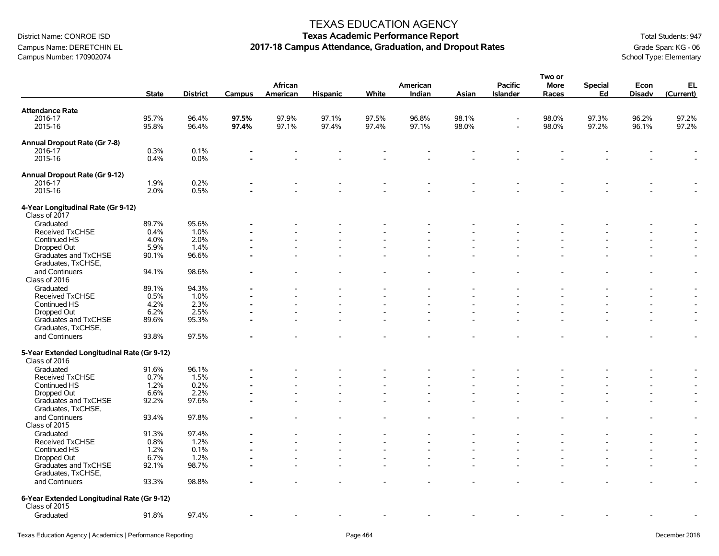## Campus Name: DERETCHIN EL **2017-18 Campus Attendance, Graduation, and Dropout Rates** Grammer (Grade Span: KG - 06<br>Campus Number: 170902074<br>School Type: Elementary Campus Number: 170902074

#### TEXAS EDUCATION AGENCY

|                                                              |              |                 |        |          |                 |       |          |       |                | Two or      |                |               |                          |
|--------------------------------------------------------------|--------------|-----------------|--------|----------|-----------------|-------|----------|-------|----------------|-------------|----------------|---------------|--------------------------|
|                                                              |              |                 |        | African  |                 |       | American |       | <b>Pacific</b> | <b>More</b> | <b>Special</b> | Econ          | EL                       |
|                                                              | <b>State</b> | <b>District</b> | Campus | American | <b>Hispanic</b> | White | Indian   | Asian | Islander       | Races       | Ed             | <b>Disadv</b> | (Current)                |
| <b>Attendance Rate</b>                                       |              |                 |        |          |                 |       |          |       |                |             |                |               |                          |
| 2016-17                                                      | 95.7%        | 96.4%           | 97.5%  | 97.9%    | 97.1%           | 97.5% | 96.8%    | 98.1% |                | 98.0%       | 97.3%          | 96.2%         | 97.2%                    |
| 2015-16                                                      | 95.8%        | 96.4%           | 97.4%  | 97.1%    | 97.4%           | 97.4% | 97.1%    | 98.0% |                | 98.0%       | 97.2%          | 96.1%         | 97.2%                    |
|                                                              |              |                 |        |          |                 |       |          |       |                |             |                |               |                          |
| Annual Dropout Rate (Gr 7-8)                                 |              |                 |        |          |                 |       |          |       |                |             |                |               |                          |
| 2016-17                                                      | 0.3%         | 0.1%            |        |          |                 |       |          |       |                |             |                |               |                          |
| 2015-16                                                      | 0.4%         | 0.0%            |        |          |                 |       |          |       |                |             |                |               |                          |
| Annual Dropout Rate (Gr 9-12)                                |              |                 |        |          |                 |       |          |       |                |             |                |               |                          |
| 2016-17                                                      | 1.9%         | 0.2%            |        |          |                 |       |          |       |                |             |                |               |                          |
| 2015-16                                                      | 2.0%         | 0.5%            |        |          |                 |       |          |       |                |             |                |               |                          |
|                                                              |              |                 |        |          |                 |       |          |       |                |             |                |               |                          |
| 4-Year Longitudinal Rate (Gr 9-12)<br>Class of 2017          |              |                 |        |          |                 |       |          |       |                |             |                |               |                          |
| Graduated                                                    | 89.7%        | 95.6%           |        |          |                 |       |          |       |                |             |                |               |                          |
| <b>Received TxCHSE</b>                                       | 0.4%         | 1.0%            |        |          |                 |       |          |       |                |             |                |               |                          |
| Continued HS                                                 | 4.0%         | 2.0%            |        |          |                 |       |          |       |                |             |                |               |                          |
| Dropped Out                                                  | 5.9%         | 1.4%            |        |          |                 |       |          |       |                |             |                |               |                          |
| Graduates and TxCHSE                                         | 90.1%        | 96.6%           |        |          |                 |       |          |       |                |             |                |               | $\overline{a}$           |
| Graduates, TxCHSE,                                           |              |                 |        |          |                 |       |          |       |                |             |                |               |                          |
|                                                              |              |                 |        |          |                 |       |          |       |                |             |                |               |                          |
| and Continuers<br>Class of 2016                              | 94.1%        | 98.6%           |        |          |                 |       |          |       |                |             |                |               | $\overline{\phantom{a}}$ |
| Graduated                                                    | 89.1%        | 94.3%           |        |          |                 |       |          |       |                |             |                | ۰             | $\blacksquare$           |
| Received TxCHSE                                              | 0.5%         | 1.0%            |        |          |                 |       |          |       |                |             |                |               | $\overline{\phantom{a}}$ |
| Continued HS                                                 | 4.2%         | 2.3%            |        |          |                 |       |          |       |                |             |                |               |                          |
|                                                              | 6.2%         | 2.5%            |        |          |                 |       |          |       |                |             |                |               |                          |
| Dropped Out                                                  |              |                 |        |          |                 |       |          |       |                |             |                |               |                          |
| Graduates and TxCHSE<br>Graduates, TxCHSE,                   | 89.6%        | 95.3%           |        |          |                 |       |          |       |                |             |                |               | $\overline{\phantom{a}}$ |
| and Continuers                                               | 93.8%        | 97.5%           |        |          |                 |       |          |       |                |             |                |               | $\overline{a}$           |
| 5-Year Extended Longitudinal Rate (Gr 9-12)<br>Class of 2016 |              |                 |        |          |                 |       |          |       |                |             |                |               |                          |
| Graduated                                                    | 91.6%        | 96.1%           |        |          |                 |       |          |       |                |             |                |               |                          |
| Received TxCHSE                                              | 0.7%         | 1.5%            |        |          |                 |       |          |       |                |             |                |               |                          |
| Continued HS                                                 | 1.2%         | 0.2%            |        |          |                 |       |          |       |                |             |                |               |                          |
| Dropped Out                                                  | 6.6%         | 2.2%            |        |          |                 |       |          |       |                |             |                |               |                          |
| Graduates and TxCHSE                                         | 92.2%        | 97.6%           |        |          |                 |       |          |       |                |             |                |               | $\overline{a}$           |
| Graduates, TxCHSE,                                           |              |                 |        |          |                 |       |          |       |                |             |                |               |                          |
| and Continuers<br>Class of 2015                              | 93.4%        | 97.8%           |        |          |                 |       |          |       |                |             |                |               | $\overline{\phantom{a}}$ |
| Graduated                                                    | 91.3%        | 97.4%           |        |          |                 |       |          |       |                |             |                |               | $\overline{\phantom{a}}$ |
| Received TxCHSE                                              | 0.8%         | 1.2%            |        |          |                 |       |          |       |                |             |                |               | $\overline{a}$           |
|                                                              |              | 0.1%            |        |          |                 |       |          |       |                |             |                |               |                          |
| Continued HS                                                 | 1.2%         |                 |        |          |                 |       |          |       |                |             |                |               | $\blacksquare$           |
| Dropped Out                                                  | 6.7%         | 1.2%            |        |          |                 |       |          |       |                |             |                |               | $\blacksquare$           |
| Graduates and TxCHSE<br>Graduates, TxCHSE,                   | 92.1%        | 98.7%           |        |          |                 |       |          |       |                |             |                |               | $\overline{a}$           |
| and Continuers                                               | 93.3%        | 98.8%           |        |          |                 |       |          |       |                |             |                |               | $\overline{\phantom{a}}$ |
| 6-Year Extended Longitudinal Rate (Gr 9-12)<br>Class of 2015 |              |                 |        |          |                 |       |          |       |                |             |                |               |                          |
| Graduated                                                    | 91.8%        | 97.4%           |        |          |                 |       |          |       |                |             |                |               |                          |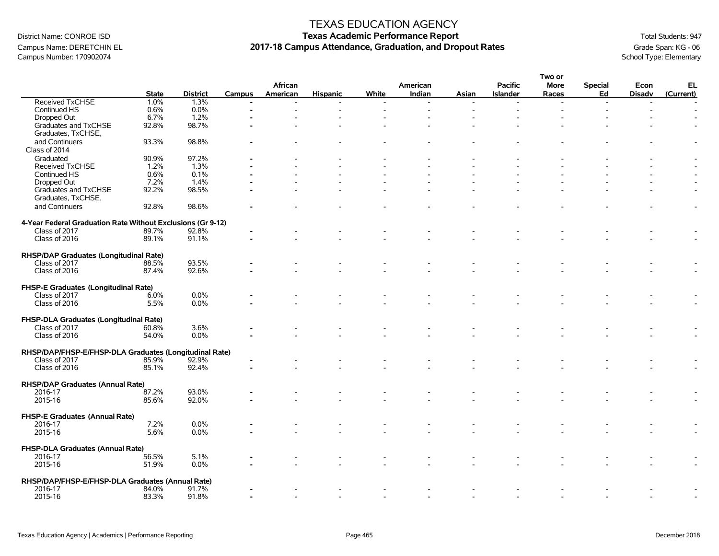### Campus Name: DERETCHIN EL **2017-18 Campus Attendance, Graduation, and Dropout Rates** Grammer (Grade Span: KG - 06<br>Campus Number: 170902074<br>School Type: Elementary Campus Number: 170902074

#### TEXAS EDUCATION AGENCY

|                                                             |              |                 |        |          |                 |       |          |       |                 | Two or      |                          |               |                |
|-------------------------------------------------------------|--------------|-----------------|--------|----------|-----------------|-------|----------|-------|-----------------|-------------|--------------------------|---------------|----------------|
|                                                             |              |                 |        | African  |                 |       | American |       | <b>Pacific</b>  | <b>More</b> | <b>Special</b>           | Econ          | EL             |
|                                                             | <b>State</b> | <b>District</b> | Campus | American | <b>Hispanic</b> | White | Indian   | Asian | <b>Islander</b> | Races       | Ed                       | <b>Disadv</b> | (Current)      |
| <b>Received TxCHSE</b>                                      | 1.0%         | 1.3%            |        |          |                 |       |          |       |                 |             | $\overline{\phantom{a}}$ |               |                |
| Continued HS                                                | 0.6%         | 0.0%            |        |          |                 |       |          |       |                 |             |                          |               |                |
| Dropped Out                                                 | 6.7%         | 1.2%            |        |          |                 |       |          |       |                 |             |                          |               |                |
| Graduates and TxCHSE                                        | 92.8%        | 98.7%           |        |          |                 |       |          |       |                 |             |                          |               |                |
| Graduates, TxCHSE,                                          |              |                 |        |          |                 |       |          |       |                 |             |                          |               |                |
| and Continuers                                              | 93.3%        | 98.8%           |        |          |                 |       |          |       |                 |             |                          |               |                |
| Class of 2014                                               |              |                 |        |          |                 |       |          |       |                 |             |                          |               |                |
| Graduated                                                   | 90.9%        | 97.2%           |        |          |                 |       |          |       |                 |             |                          |               |                |
|                                                             |              | 1.3%            |        |          |                 |       |          |       |                 |             |                          |               |                |
| <b>Received TxCHSE</b>                                      | 1.2%         |                 |        |          |                 |       |          |       |                 |             |                          |               |                |
| Continued HS                                                | 0.6%         | 0.1%            |        |          |                 |       |          |       |                 |             |                          |               |                |
| Dropped Out                                                 | 7.2%         | 1.4%            |        |          |                 |       |          |       |                 |             |                          |               |                |
| Graduates and TxCHSE                                        | 92.2%        | 98.5%           |        |          |                 |       |          |       |                 |             |                          |               |                |
| Graduates, TxCHSE,                                          |              |                 |        |          |                 |       |          |       |                 |             |                          |               |                |
| and Continuers                                              | 92.8%        | 98.6%           |        |          |                 |       |          |       |                 |             |                          |               | $\overline{a}$ |
|                                                             |              |                 |        |          |                 |       |          |       |                 |             |                          |               |                |
| 4-Year Federal Graduation Rate Without Exclusions (Gr 9-12) |              |                 |        |          |                 |       |          |       |                 |             |                          |               |                |
| Class of 2017                                               | 89.7%        | 92.8%           |        |          |                 |       |          |       |                 |             |                          |               |                |
| Class of 2016                                               | 89.1%        | 91.1%           |        |          |                 |       |          |       |                 |             |                          |               |                |
|                                                             |              |                 |        |          |                 |       |          |       |                 |             |                          |               |                |
| RHSP/DAP Graduates (Longitudinal Rate)                      |              |                 |        |          |                 |       |          |       |                 |             |                          |               |                |
| Class of 2017                                               | 88.5%        | 93.5%           |        |          |                 |       |          |       |                 |             |                          |               |                |
| Class of 2016                                               | 87.4%        | 92.6%           |        |          |                 |       |          |       |                 |             |                          |               |                |
|                                                             |              |                 |        |          |                 |       |          |       |                 |             |                          |               |                |
| FHSP-E Graduates (Longitudinal Rate)                        |              |                 |        |          |                 |       |          |       |                 |             |                          |               |                |
|                                                             |              |                 |        |          |                 |       |          |       |                 |             |                          |               |                |
| Class of 2017                                               | 6.0%         | 0.0%            |        |          |                 |       |          |       |                 |             |                          |               |                |
| Class of 2016                                               | 5.5%         | 0.0%            |        |          |                 |       |          |       |                 |             |                          |               |                |
|                                                             |              |                 |        |          |                 |       |          |       |                 |             |                          |               |                |
| FHSP-DLA Graduates (Longitudinal Rate)                      |              |                 |        |          |                 |       |          |       |                 |             |                          |               |                |
| Class of 2017                                               | 60.8%        | 3.6%            |        |          |                 |       |          |       |                 |             |                          |               |                |
| Class of 2016                                               | 54.0%        | 0.0%            |        |          |                 |       |          |       |                 |             |                          |               |                |
|                                                             |              |                 |        |          |                 |       |          |       |                 |             |                          |               |                |
| RHSP/DAP/FHSP-E/FHSP-DLA Graduates (Longitudinal Rate)      |              |                 |        |          |                 |       |          |       |                 |             |                          |               |                |
| Class of 2017                                               | 85.9%        | 92.9%           |        |          |                 |       |          |       |                 |             |                          |               |                |
| Class of 2016                                               | 85.1%        | 92.4%           |        |          |                 |       |          |       |                 |             |                          |               |                |
|                                                             |              |                 |        |          |                 |       |          |       |                 |             |                          |               |                |
| <b>RHSP/DAP Graduates (Annual Rate)</b>                     |              |                 |        |          |                 |       |          |       |                 |             |                          |               |                |
| 2016-17                                                     | 87.2%        | 93.0%           |        |          |                 |       |          |       |                 |             |                          |               |                |
| 2015-16                                                     | 85.6%        | 92.0%           |        |          |                 |       |          |       |                 |             |                          |               |                |
|                                                             |              |                 |        |          |                 |       |          |       |                 |             |                          |               |                |
| FHSP-E Graduates (Annual Rate)                              |              |                 |        |          |                 |       |          |       |                 |             |                          |               |                |
| 2016-17                                                     | 7.2%         | 0.0%            |        |          |                 |       |          |       |                 |             |                          |               |                |
| 2015-16                                                     | 5.6%         | 0.0%            |        |          |                 |       |          |       |                 |             |                          |               |                |
|                                                             |              |                 |        |          |                 |       |          |       |                 |             |                          |               |                |
|                                                             |              |                 |        |          |                 |       |          |       |                 |             |                          |               |                |
| FHSP-DLA Graduates (Annual Rate)                            |              |                 |        |          |                 |       |          |       |                 |             |                          |               |                |
| 2016-17                                                     | 56.5%        | 5.1%            |        |          |                 |       |          |       |                 |             |                          |               |                |
| 2015-16                                                     | 51.9%        | 0.0%            |        |          |                 |       |          |       |                 |             |                          |               |                |
|                                                             |              |                 |        |          |                 |       |          |       |                 |             |                          |               |                |
| RHSP/DAP/FHSP-E/FHSP-DLA Graduates (Annual Rate)            |              |                 |        |          |                 |       |          |       |                 |             |                          |               |                |
| 2016-17                                                     | 84.0%        | 91.7%           |        |          |                 |       |          |       |                 |             |                          |               |                |
| 2015-16                                                     | 83.3%        | 91.8%           |        |          |                 |       |          |       |                 |             |                          |               |                |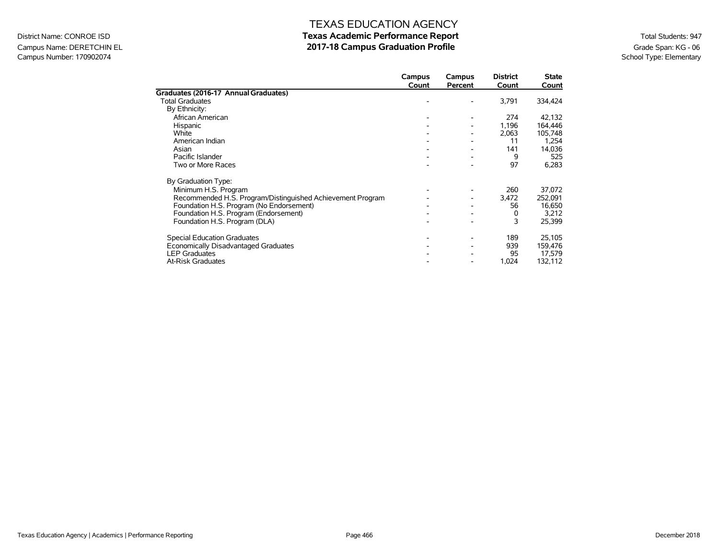### Campus Name: DERETCHIN EL **2017-18 Campus Graduation Profile** Graduation Profile Graduation Profile Grade Span: KG - 06<br>Campus Number: 170902074 School Type: Elementary Campus Number: 170902074

|                                                            | Campus<br>Count | Campus<br>Percent | <b>District</b><br>Count | State<br>Count |
|------------------------------------------------------------|-----------------|-------------------|--------------------------|----------------|
| Graduates (2016-17 Annual Graduates)                       |                 |                   |                          |                |
| <b>Total Graduates</b>                                     |                 |                   | 3,791                    | 334,424        |
| By Ethnicity:                                              |                 |                   |                          |                |
| African American                                           |                 |                   | 274                      | 42,132         |
| Hispanic                                                   |                 |                   | 1,196                    | 164,446        |
| White                                                      |                 |                   | 2,063                    | 105,748        |
| American Indian                                            |                 |                   | 11                       | 1,254          |
| Asian                                                      |                 |                   | 141                      | 14,036         |
| Pacific Islander                                           |                 |                   | 9                        | 525            |
| Two or More Races                                          |                 |                   | 97                       | 6,283          |
| By Graduation Type:                                        |                 |                   |                          |                |
| Minimum H.S. Program                                       |                 |                   | 260                      | 37,072         |
| Recommended H.S. Program/Distinguished Achievement Program |                 |                   | 3,472                    | 252,091        |
| Foundation H.S. Program (No Endorsement)                   |                 |                   | 56                       | 16,650         |
| Foundation H.S. Program (Endorsement)                      |                 |                   | 0                        | 3,212          |
| Foundation H.S. Program (DLA)                              |                 |                   | 3                        | 25,399         |
| <b>Special Education Graduates</b>                         |                 |                   | 189                      | 25,105         |
| Economically Disadvantaged Graduates                       |                 |                   | 939                      | 159,476        |
| <b>LEP Graduates</b>                                       |                 |                   | 95                       | 17,579         |
| <b>At-Risk Graduates</b>                                   |                 |                   | 1,024                    | 132,112        |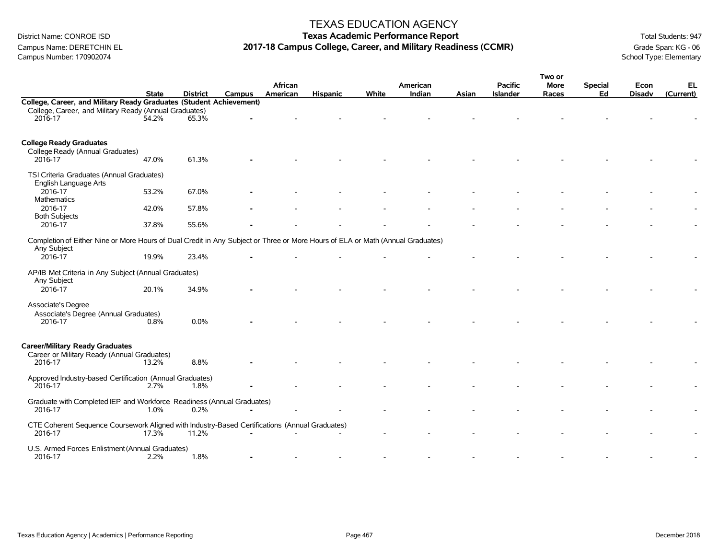Campus Number: 170902074

#### TEXAS EDUCATION AGENCY

## District Name: CONROE ISD **Texas Academic Performance Report Texas Academic Performance Report** Total Students: 947 Campus Name: DERETCHIN EL **2017-18 Campus College, Career, and Military Readiness (CCMR)** Grade Span: KG - 06<br>Campus Number: 170902074<br>School Type: Elementary

|                                                                                                                                               | <b>State</b> | <b>District</b> | <b>Campus</b> | African<br>American | <b>Hispanic</b> | White | American<br>Indian |       | <b>Pacific</b>  | Two or<br><b>More</b> | <b>Special</b><br>Ed | Econ<br><b>Disadv</b> | EL<br>(Current) |
|-----------------------------------------------------------------------------------------------------------------------------------------------|--------------|-----------------|---------------|---------------------|-----------------|-------|--------------------|-------|-----------------|-----------------------|----------------------|-----------------------|-----------------|
| College, Career, and Military Ready Graduates (Student Achievement)                                                                           |              |                 |               |                     |                 |       |                    | Asian | <b>Islander</b> | Races                 |                      |                       |                 |
| College, Career, and Military Ready (Annual Graduates)<br>2016-17                                                                             | 54.2%        | 65.3%           |               |                     |                 |       |                    |       |                 |                       |                      |                       |                 |
| <b>College Ready Graduates</b><br>College Ready (Annual Graduates)<br>2016-17                                                                 | 47.0%        | 61.3%           |               |                     |                 |       |                    |       |                 |                       |                      |                       |                 |
| TSI Criteria Graduates (Annual Graduates)<br>English Language Arts                                                                            |              |                 |               |                     |                 |       |                    |       |                 |                       |                      |                       |                 |
| 2016-17<br>Mathematics                                                                                                                        | 53.2%        | 67.0%           |               |                     |                 |       |                    |       |                 |                       |                      |                       |                 |
| 2016-17<br><b>Both Subjects</b>                                                                                                               | 42.0%        | 57.8%           |               |                     |                 |       |                    |       |                 |                       |                      |                       |                 |
| 2016-17                                                                                                                                       | 37.8%        | 55.6%           |               |                     |                 |       |                    |       |                 |                       |                      |                       |                 |
| Completion of Either Nine or More Hours of Dual Credit in Any Subject or Three or More Hours of ELA or Math (Annual Graduates)<br>Any Subject |              |                 |               |                     |                 |       |                    |       |                 |                       |                      |                       |                 |
| 2016-17                                                                                                                                       | 19.9%        | 23.4%           |               |                     |                 |       |                    |       |                 |                       |                      |                       |                 |
| AP/IB Met Criteria in Any Subject (Annual Graduates)<br>Any Subject                                                                           |              |                 |               |                     |                 |       |                    |       |                 |                       |                      |                       |                 |
| 2016-17                                                                                                                                       | 20.1%        | 34.9%           |               |                     |                 |       |                    |       |                 |                       |                      |                       |                 |
| Associate's Degree<br>Associate's Degree (Annual Graduates)<br>2016-17                                                                        | 0.8%         | 0.0%            |               |                     |                 |       |                    |       |                 |                       |                      |                       |                 |
| <b>Career/Military Ready Graduates</b><br>Career or Military Ready (Annual Graduates)                                                         |              |                 |               |                     |                 |       |                    |       |                 |                       |                      |                       |                 |
| 2016-17                                                                                                                                       | 13.2%        | 8.8%            |               |                     |                 |       |                    |       |                 |                       |                      |                       |                 |
| Approved Industry-based Certification (Annual Graduates)<br>2016-17                                                                           | 2.7%         | 1.8%            |               |                     |                 |       |                    |       |                 |                       |                      |                       |                 |
| Graduate with Completed IEP and Workforce Readiness (Annual Graduates)<br>2016-17                                                             | 1.0%         | 0.2%            |               |                     |                 |       |                    |       |                 |                       |                      |                       |                 |
| CTE Coherent Sequence Coursework Aligned with Industry-Based Certifications (Annual Graduates)<br>2016-17                                     | 17.3%        | 11.2%           |               |                     |                 |       |                    |       |                 |                       |                      |                       |                 |
| U.S. Armed Forces Enlistment (Annual Graduates)<br>2016-17                                                                                    | 2.2%         | 1.8%            |               |                     |                 |       |                    |       |                 |                       |                      |                       |                 |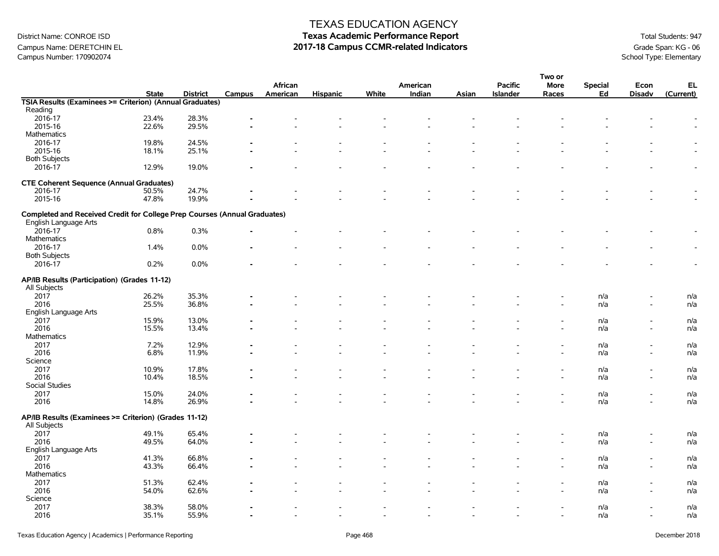## Campus Name: DERETCHIN EL **2017-18 Campus CCMR-related Indicators** Grade Span: KG - 06<br>Campus Number: 170902074<br>School Type: Elementary Campus Number: 170902074

### TEXAS EDUCATION AGENCY

|                                                                           |              |                 |        |          |                          |       |                          |       |                          | Two or      |                |                          |           |
|---------------------------------------------------------------------------|--------------|-----------------|--------|----------|--------------------------|-------|--------------------------|-------|--------------------------|-------------|----------------|--------------------------|-----------|
|                                                                           |              |                 |        | African  |                          |       | American                 |       | <b>Pacific</b>           | <b>More</b> | <b>Special</b> | Econ                     | EL        |
|                                                                           | <b>State</b> | <b>District</b> | Campus | American | <b>Hispanic</b>          | White | Indian                   | Asian | <b>Islander</b>          | Races       | Ed             | <b>Disadv</b>            | (Current) |
| TSIA Results (Examinees >= Criterion) (Annual Graduates)                  |              |                 |        |          |                          |       |                          |       |                          |             |                |                          |           |
| Reading                                                                   |              |                 |        |          |                          |       |                          |       |                          |             |                |                          |           |
| 2016-17                                                                   | 23.4%        | 28.3%           |        |          |                          |       |                          |       |                          |             |                |                          |           |
| 2015-16                                                                   | 22.6%        | 29.5%           |        |          |                          |       |                          |       |                          |             |                |                          |           |
| <b>Mathematics</b>                                                        |              |                 |        |          |                          |       |                          |       |                          |             |                |                          |           |
| 2016-17                                                                   | 19.8%        | 24.5%           |        |          |                          |       |                          |       |                          |             |                |                          |           |
| 2015-16                                                                   | 18.1%        | 25.1%           |        |          |                          |       |                          |       |                          |             |                |                          |           |
| <b>Both Subjects</b>                                                      |              |                 |        |          |                          |       |                          |       |                          |             |                |                          |           |
| 2016-17                                                                   |              | 19.0%           |        |          |                          |       |                          |       |                          |             |                |                          |           |
|                                                                           | 12.9%        |                 |        |          |                          |       |                          |       |                          |             |                |                          |           |
| <b>CTE Coherent Sequence (Annual Graduates)</b>                           |              |                 |        |          |                          |       |                          |       |                          |             |                |                          |           |
| 2016-17                                                                   | 50.5%        | 24.7%           |        |          |                          |       |                          |       |                          |             |                |                          |           |
|                                                                           |              | 19.9%           |        |          |                          |       |                          |       |                          |             |                |                          |           |
| 2015-16                                                                   | 47.8%        |                 |        |          |                          |       |                          |       |                          |             |                |                          |           |
|                                                                           |              |                 |        |          |                          |       |                          |       |                          |             |                |                          |           |
| Completed and Received Credit for College Prep Courses (Annual Graduates) |              |                 |        |          |                          |       |                          |       |                          |             |                |                          |           |
| English Language Arts                                                     |              |                 |        |          |                          |       |                          |       |                          |             |                |                          |           |
| 2016-17                                                                   | 0.8%         | 0.3%            |        |          |                          |       |                          |       |                          |             |                |                          |           |
| <b>Mathematics</b>                                                        |              |                 |        |          |                          |       |                          |       |                          |             |                |                          |           |
| 2016-17                                                                   | 1.4%         | 0.0%            |        |          |                          |       |                          |       |                          |             |                |                          |           |
| <b>Both Subjects</b>                                                      |              |                 |        |          |                          |       |                          |       |                          |             |                |                          |           |
| 2016-17                                                                   | 0.2%         | 0.0%            |        |          |                          |       |                          |       |                          |             |                |                          |           |
|                                                                           |              |                 |        |          |                          |       |                          |       |                          |             |                |                          |           |
| AP/IB Results (Participation) (Grades 11-12)                              |              |                 |        |          |                          |       |                          |       |                          |             |                |                          |           |
| All Subjects                                                              |              |                 |        |          |                          |       |                          |       |                          |             |                |                          |           |
| 2017                                                                      | 26.2%        | 35.3%           |        |          |                          |       |                          |       |                          |             | n/a            |                          | n/a       |
| 2016                                                                      | 25.5%        | 36.8%           |        |          |                          |       |                          |       |                          |             | n/a            |                          | n/a       |
| English Language Arts                                                     |              |                 |        |          |                          |       |                          |       |                          |             |                |                          |           |
|                                                                           |              |                 |        |          |                          |       |                          |       |                          |             |                |                          |           |
| 2017                                                                      | 15.9%        | 13.0%           |        |          |                          |       |                          |       |                          |             | n/a            |                          | n/a       |
| 2016                                                                      | 15.5%        | 13.4%           |        |          |                          |       |                          |       |                          |             | n/a            | $\overline{\phantom{a}}$ | n/a       |
| <b>Mathematics</b>                                                        |              |                 |        |          |                          |       |                          |       |                          |             |                |                          |           |
| 2017                                                                      | 7.2%         | 12.9%           |        |          |                          |       |                          |       |                          |             | n/a            | $\overline{\phantom{a}}$ | n/a       |
| 2016                                                                      | 6.8%         | 11.9%           |        |          |                          |       |                          |       |                          |             | n/a            | $\overline{\phantom{a}}$ | n/a       |
| Science                                                                   |              |                 |        |          |                          |       |                          |       |                          |             |                |                          |           |
| 2017                                                                      | 10.9%        | 17.8%           |        |          |                          |       |                          |       |                          |             | n/a            |                          | n/a       |
| 2016                                                                      | 10.4%        | 18.5%           |        |          |                          |       |                          |       |                          |             | n/a            | $\overline{\phantom{a}}$ | n/a       |
| Social Studies                                                            |              |                 |        |          |                          |       |                          |       |                          |             |                |                          |           |
| 2017                                                                      | 15.0%        | 24.0%           |        |          |                          |       |                          |       |                          |             | n/a            |                          | n/a       |
| 2016                                                                      | 14.8%        | 26.9%           |        |          |                          |       |                          |       |                          |             | n/a            |                          | n/a       |
|                                                                           |              |                 |        |          |                          |       |                          |       |                          |             |                |                          |           |
| AP/IB Results (Examinees >= Criterion) (Grades 11-12)                     |              |                 |        |          |                          |       |                          |       |                          |             |                |                          |           |
| All Subjects                                                              |              |                 |        |          |                          |       |                          |       |                          |             |                |                          |           |
| 2017                                                                      | 49.1%        | 65.4%           |        |          |                          |       |                          |       |                          |             | n/a            |                          | n/a       |
| 2016                                                                      | 49.5%        | 64.0%           |        |          |                          |       |                          |       |                          |             | n/a            |                          | n/a       |
| English Language Arts                                                     |              |                 |        |          |                          |       |                          |       |                          |             |                |                          |           |
|                                                                           |              |                 |        |          |                          |       |                          |       |                          |             |                |                          |           |
| 2017                                                                      | 41.3%        | 66.8%           |        |          |                          |       |                          |       |                          |             | n/a            | $\overline{\phantom{0}}$ | n/a       |
| 2016                                                                      | 43.3%        | 66.4%           |        |          |                          |       |                          |       |                          |             | n/a            | $\overline{\phantom{a}}$ | n/a       |
| <b>Mathematics</b>                                                        |              |                 |        |          |                          |       |                          |       |                          |             |                |                          |           |
| 2017                                                                      | 51.3%        | 62.4%           |        |          |                          |       |                          |       |                          |             | n/a            |                          | n/a       |
| 2016                                                                      | 54.0%        | 62.6%           |        |          |                          |       |                          |       |                          |             | n/a            |                          | n/a       |
| Science                                                                   |              |                 |        |          |                          |       |                          |       |                          |             |                |                          |           |
| 2017                                                                      | 38.3%        | 58.0%           |        |          |                          |       |                          |       |                          |             | n/a            |                          | n/a       |
| 2016                                                                      | 35.1%        | 55.9%           |        |          | $\overline{\phantom{a}}$ |       | $\overline{\phantom{a}}$ |       | $\overline{\phantom{a}}$ |             | n/a            | $\overline{\phantom{a}}$ | n/a       |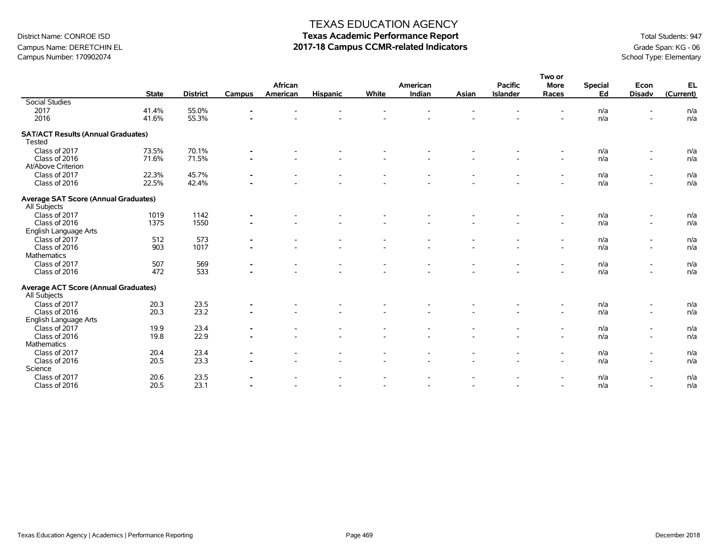## Campus Name: DERETCHIN EL **2017-18 Campus CCMR-related Indicators** Grade Span: KG - 06<br>Campus Number: 170902074<br>School Type: Elementary Campus Number: 170902074

### TEXAS EDUCATION AGENCY

|                                             |              |                 |                |          |                          |                          |                |       |                 | Two or                   |                |                          |           |
|---------------------------------------------|--------------|-----------------|----------------|----------|--------------------------|--------------------------|----------------|-------|-----------------|--------------------------|----------------|--------------------------|-----------|
|                                             |              |                 |                | African  |                          |                          | American       |       | <b>Pacific</b>  | <b>More</b>              | <b>Special</b> | Econ                     | EL        |
|                                             | <b>State</b> | <b>District</b> | Campus         | American | <b>Hispanic</b>          | White                    | Indian         | Asian | <b>Islander</b> | Races                    | Ed             | <b>Disadv</b>            | (Current) |
| <b>Social Studies</b>                       |              |                 |                |          |                          |                          |                |       |                 |                          |                |                          |           |
| 2017                                        | 41.4%        | 55.0%           |                |          |                          |                          |                |       |                 |                          | n/a            | ۰                        | n/a       |
| 2016                                        | 41.6%        | 55.3%           |                |          |                          |                          |                |       |                 |                          | n/a            |                          | n/a       |
| <b>SAT/ACT Results (Annual Graduates)</b>   |              |                 |                |          |                          |                          |                |       |                 |                          |                |                          |           |
| Tested                                      |              |                 |                |          |                          |                          |                |       |                 |                          |                |                          |           |
| Class of 2017                               | 73.5%        | 70.1%           | $\blacksquare$ |          |                          |                          |                |       |                 | $\overline{\phantom{a}}$ | n/a            | $\overline{\phantom{a}}$ | n/a       |
| Class of 2016                               | 71.6%        | 71.5%           | $\blacksquare$ |          | $\overline{\phantom{a}}$ |                          |                |       |                 | $\overline{\phantom{a}}$ | n/a            | $\overline{\phantom{a}}$ | n/a       |
| At/Above Criterion                          |              |                 |                |          |                          |                          |                |       |                 |                          |                |                          |           |
| Class of 2017                               | 22.3%        | 45.7%           | $\blacksquare$ |          |                          |                          |                |       |                 | $\overline{\phantom{a}}$ | n/a            | $\overline{\phantom{a}}$ | n/a       |
| Class of 2016                               | 22.5%        | 42.4%           |                |          |                          |                          |                |       |                 | $\overline{a}$           | n/a            | $\blacksquare$           | n/a       |
| <b>Average SAT Score (Annual Graduates)</b> |              |                 |                |          |                          |                          |                |       |                 |                          |                |                          |           |
| All Subjects                                |              |                 |                |          |                          |                          |                |       |                 |                          |                |                          |           |
| Class of 2017                               | 1019         | 1142            |                |          |                          |                          |                |       |                 |                          | n/a            | $\overline{\phantom{a}}$ | n/a       |
| Class of 2016                               | 1375         | 1550            |                |          |                          |                          |                |       |                 | $\overline{\phantom{a}}$ | n/a            | $\blacksquare$           | n/a       |
| English Language Arts                       |              |                 |                |          |                          |                          |                |       |                 |                          |                |                          |           |
| Class of 2017                               | 512          | 573             | $\blacksquare$ |          |                          |                          |                |       |                 | $\overline{\phantom{0}}$ | n/a            | $\overline{\phantom{a}}$ | n/a       |
| Class of 2016                               | 903          | 1017            | $\blacksquare$ |          |                          |                          |                |       |                 | $\overline{\phantom{a}}$ | n/a            | $\blacksquare$           | n/a       |
| Mathematics                                 |              |                 |                |          |                          |                          |                |       |                 |                          |                |                          |           |
| Class of 2017                               | 507          | 569             | $\blacksquare$ |          |                          |                          |                |       |                 | $\overline{\phantom{0}}$ | n/a            | $\overline{\phantom{a}}$ | n/a       |
| Class of 2016                               | 472          | 533             |                |          |                          |                          |                |       |                 |                          | n/a            | $\blacksquare$           | n/a       |
| <b>Average ACT Score (Annual Graduates)</b> |              |                 |                |          |                          |                          |                |       |                 |                          |                |                          |           |
| All Subjects                                |              |                 |                |          |                          |                          |                |       |                 |                          |                |                          |           |
| Class of 2017                               | 20.3         | 23.5            | $\blacksquare$ |          |                          |                          |                |       |                 |                          | n/a            | $\overline{\phantom{a}}$ | n/a       |
| Class of 2016                               | 20.3         | 23.2            |                |          |                          |                          |                |       |                 | $\overline{a}$           | n/a            | $\blacksquare$           | n/a       |
| English Language Arts                       |              |                 |                |          |                          |                          |                |       |                 |                          |                |                          |           |
| Class of 2017                               | 19.9         | 23.4            | $\blacksquare$ |          |                          |                          |                |       |                 | $\overline{\phantom{a}}$ | n/a            | $\overline{\phantom{a}}$ | n/a       |
| Class of 2016                               | 19.8         | 22.9            |                |          |                          |                          |                |       |                 | $\overline{\phantom{a}}$ | n/a            | $\overline{\phantom{a}}$ | n/a       |
| Mathematics                                 |              |                 |                |          |                          |                          |                |       |                 |                          |                |                          |           |
| Class of 2017                               | 20.4         | 23.4            |                |          |                          |                          |                |       |                 | $\overline{\phantom{a}}$ | n/a            | $\overline{\phantom{a}}$ | n/a       |
| Class of 2016                               | 20.5         | 23.3            |                |          | $\overline{\phantom{a}}$ |                          |                |       |                 | $\sim$                   | n/a            | $\overline{\phantom{a}}$ | n/a       |
| Science                                     |              |                 |                |          |                          |                          |                |       |                 |                          |                |                          |           |
| Class of 2017                               | 20.6         | 23.5            | $\blacksquare$ |          |                          |                          |                |       |                 | $\overline{\phantom{0}}$ | n/a            | $\overline{\phantom{a}}$ | n/a       |
| Class of 2016                               | 20.5         | 23.1            |                |          | $\overline{\phantom{a}}$ | $\overline{\phantom{a}}$ | $\overline{a}$ |       |                 | $\sim$                   | n/a            | $\overline{\phantom{a}}$ | n/a       |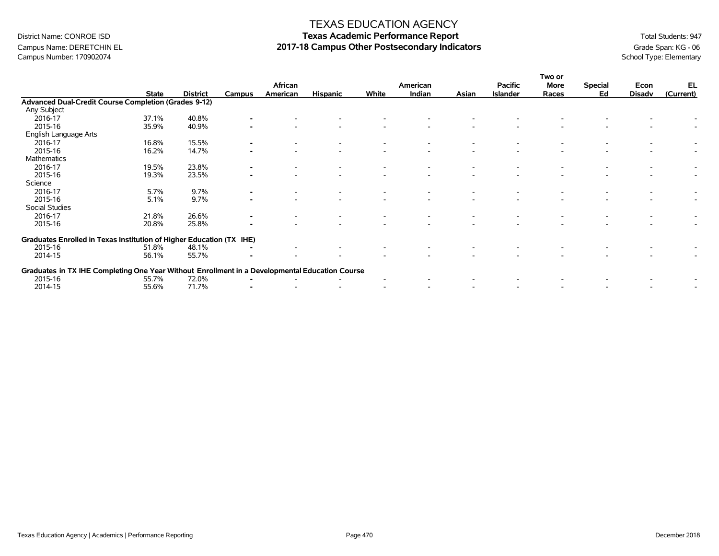# Campus Number: 170902074

#### TEXAS EDUCATION AGENCY

# District Name: CONROE ISD **Texas Academic Performance Report Texas Academic Performance Report** Total Students: 947 Campus Name: DERETCHIN EL **2017-18 Campus Other Postsecondary Indicators** Grade Span: KG - 06 Campus Number: 170902074<br>Campus Number: 170902074

|                                                                                                |              |                 |                |          |                 |       |          |       |                 | Two or |                |               |           |
|------------------------------------------------------------------------------------------------|--------------|-----------------|----------------|----------|-----------------|-------|----------|-------|-----------------|--------|----------------|---------------|-----------|
|                                                                                                |              |                 |                | African  |                 |       | American |       | <b>Pacific</b>  | More   | <b>Special</b> | Econ          | EL        |
|                                                                                                | <b>State</b> | <b>District</b> | Campus         | American | <b>Hispanic</b> | White | Indian   | Asian | <b>Islander</b> | Races  | Ed             | <b>Disadv</b> | (Current) |
| Advanced Dual-Credit Course Completion (Grades 9-12)                                           |              |                 |                |          |                 |       |          |       |                 |        |                |               |           |
| Any Subject                                                                                    |              |                 |                |          |                 |       |          |       |                 |        |                |               |           |
| 2016-17                                                                                        | 37.1%        | 40.8%           |                |          |                 |       |          |       |                 |        |                |               |           |
| 2015-16                                                                                        | 35.9%        | 40.9%           |                |          |                 |       |          |       |                 |        |                |               |           |
| English Language Arts                                                                          |              |                 |                |          |                 |       |          |       |                 |        |                |               |           |
| 2016-17                                                                                        | 16.8%        | 15.5%           |                |          |                 |       |          |       |                 |        |                |               |           |
| 2015-16                                                                                        | 16.2%        | 14.7%           |                |          |                 |       |          |       |                 |        |                |               |           |
| Mathematics                                                                                    |              |                 |                |          |                 |       |          |       |                 |        |                |               |           |
| 2016-17                                                                                        | 19.5%        | 23.8%           |                |          |                 |       |          |       |                 |        |                |               |           |
| 2015-16                                                                                        | 19.3%        | 23.5%           |                |          |                 |       |          |       |                 |        |                |               |           |
| Science                                                                                        |              |                 |                |          |                 |       |          |       |                 |        |                |               |           |
| 2016-17                                                                                        | 5.7%         | 9.7%            |                |          |                 |       |          |       |                 |        |                |               |           |
| 2015-16                                                                                        | 5.1%         | 9.7%            |                |          |                 |       |          |       |                 |        |                |               |           |
| Social Studies                                                                                 |              |                 |                |          |                 |       |          |       |                 |        |                |               |           |
| 2016-17                                                                                        | 21.8%        | 26.6%           | $\blacksquare$ |          |                 |       |          |       |                 |        |                |               |           |
| 2015-16                                                                                        | 20.8%        | 25.8%           |                |          |                 |       |          |       |                 |        |                |               |           |
| Graduates Enrolled in Texas Institution of Higher Education (TX IHE)                           |              |                 |                |          |                 |       |          |       |                 |        |                |               |           |
| 2015-16                                                                                        | 51.8%        | 48.1%           |                |          |                 |       |          |       |                 |        |                |               |           |
| 2014-15                                                                                        | 56.1%        | 55.7%           |                |          |                 |       |          |       |                 |        |                |               |           |
| Graduates in TX IHE Completing One Year Without Enrollment in a Developmental Education Course |              |                 |                |          |                 |       |          |       |                 |        |                |               |           |
| 2015-16                                                                                        | 55.7%        | 72.0%           |                |          |                 |       |          |       |                 |        |                |               |           |
| 2014-15                                                                                        | 55.6%        | 71.7%           |                |          |                 |       |          |       |                 |        |                |               |           |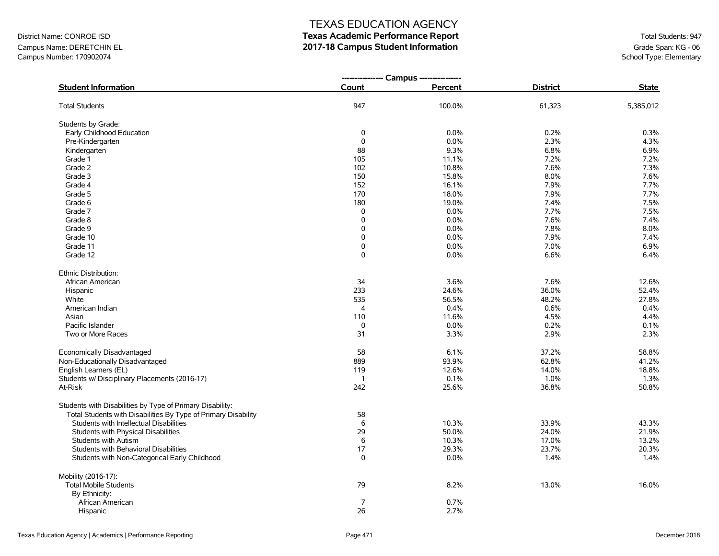### Campus Name: DERETCHIN EL **2017-18 Campus Student Information**<br>Campus Number: 170902074<br>School Type: Elementary Campus Number: 170902074

### TEXAS EDUCATION AGENCY

|                                                                |                | --------------- Campus --------------- |                 |              |  |
|----------------------------------------------------------------|----------------|----------------------------------------|-----------------|--------------|--|
| <b>Student Information</b>                                     | Count          | Percent                                | <b>District</b> | <b>State</b> |  |
| <b>Total Students</b>                                          | 947            | 100.0%                                 | 61,323          | 5,385,012    |  |
| Students by Grade:                                             |                |                                        |                 |              |  |
| Early Childhood Education                                      | 0              | 0.0%                                   | 0.2%            | 0.3%         |  |
| Pre-Kindergarten                                               | $\mathbf 0$    | 0.0%                                   | 2.3%            | 4.3%         |  |
| Kindergarten                                                   | 88             | 9.3%                                   | 6.8%            | 6.9%         |  |
| Grade 1                                                        | 105            | 11.1%                                  | 7.2%            | 7.2%         |  |
| Grade 2                                                        | 102            | 10.8%                                  | 7.6%            | 7.3%         |  |
| Grade 3                                                        | 150            | 15.8%                                  | 8.0%            | 7.6%         |  |
| Grade 4                                                        | 152            | 16.1%                                  | 7.9%            | 7.7%         |  |
| Grade 5                                                        | 170            | 18.0%                                  | 7.9%            | 7.7%         |  |
| Grade 6                                                        | 180            | 19.0%                                  | 7.4%            | 7.5%         |  |
| Grade 7                                                        | 0              | 0.0%                                   | 7.7%            | 7.5%         |  |
| Grade 8                                                        | $\mathbf 0$    | 0.0%                                   | 7.6%            | 7.4%         |  |
| Grade 9                                                        | $\mathbf 0$    | 0.0%                                   | 7.8%            | 8.0%         |  |
| Grade 10                                                       | 0              | 0.0%                                   | 7.9%            | 7.4%         |  |
| Grade 11                                                       | 0              | 0.0%                                   | 7.0%            | 6.9%         |  |
| Grade 12                                                       | 0              | 0.0%                                   | 6.6%            | 6.4%         |  |
| Ethnic Distribution:                                           |                |                                        |                 |              |  |
| African American                                               | 34             | 3.6%                                   | 7.6%            | 12.6%        |  |
| Hispanic                                                       | 233            | 24.6%                                  | 36.0%           | 52.4%        |  |
| White                                                          | 535            | 56.5%                                  | 48.2%           | 27.8%        |  |
| American Indian                                                | $\overline{4}$ | 0.4%                                   | 0.6%            | 0.4%         |  |
| Asian                                                          | 110            | 11.6%                                  | 4.5%            | 4.4%         |  |
| Pacific Islander                                               | 0              | 0.0%                                   | 0.2%            | 0.1%         |  |
| Two or More Races                                              | 31             | 3.3%                                   | 2.9%            | 2.3%         |  |
| Economically Disadvantaged                                     | 58             | 6.1%                                   | 37.2%           | 58.8%        |  |
| Non-Educationally Disadvantaged                                | 889            | 93.9%                                  | 62.8%           | 41.2%        |  |
| English Learners (EL)                                          | 119            | 12.6%                                  | 14.0%           | 18.8%        |  |
| Students w/ Disciplinary Placements (2016-17)                  | $\overline{1}$ | 0.1%                                   | 1.0%            | 1.3%         |  |
| At-Risk                                                        | 242            | 25.6%                                  | 36.8%           | 50.8%        |  |
| Students with Disabilities by Type of Primary Disability:      |                |                                        |                 |              |  |
| Total Students with Disabilities By Type of Primary Disability | 58             |                                        |                 |              |  |
| Students with Intellectual Disabilities                        | $\,6$          | 10.3%                                  | 33.9%           | 43.3%        |  |
| Students with Physical Disabilities                            | 29             | 50.0%                                  | 24.0%           | 21.9%        |  |
| Students with Autism                                           | $\,6$          | 10.3%                                  | 17.0%           | 13.2%        |  |
| Students with Behavioral Disabilities                          | 17             | 29.3%                                  | 23.7%           | 20.3%        |  |
| Students with Non-Categorical Early Childhood                  | $\Omega$       | 0.0%                                   | 1.4%            | 1.4%         |  |
| Mobility (2016-17):                                            |                |                                        |                 |              |  |
| <b>Total Mobile Students</b>                                   | 79             | 8.2%                                   | 13.0%           | 16.0%        |  |
| By Ethnicity:                                                  |                |                                        |                 |              |  |
| African American                                               | $\overline{7}$ | 0.7%                                   |                 |              |  |
| Hispanic                                                       | 26             | 2.7%                                   |                 |              |  |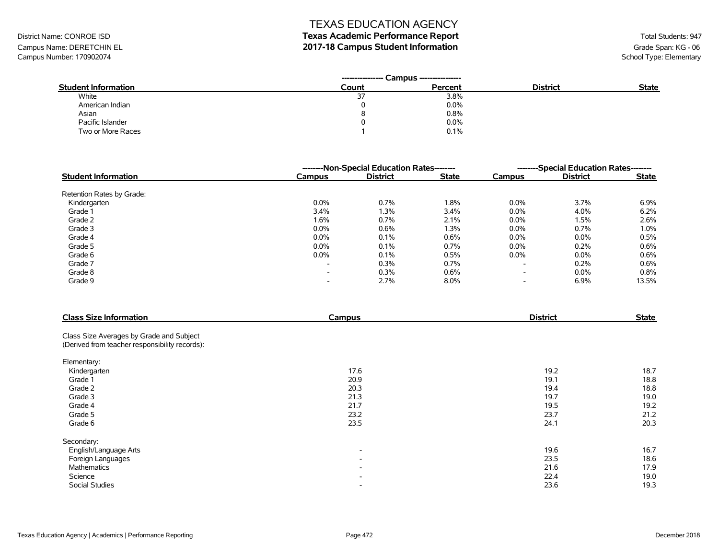# District Name: CONROE ISD **Texas Academic Performance Report Texas Academic Performance Report** Total Students: 947

Campus Name: DERETCHIN EL **2017-18 Campus Student Information**<br>Campus Number: 170902074<br>School Type: Elementary Campus Number: 170902074

|                            | Campus ----------------<br>---------------- |         |                 |              |
|----------------------------|---------------------------------------------|---------|-----------------|--------------|
| <b>Student Information</b> | Count                                       | Percent | <b>District</b> | <b>State</b> |
| White                      | ، ب                                         | 3.8%    |                 |              |
| American Indian            |                                             | 0.0%    |                 |              |
| Asian                      | 8                                           | 0.8%    |                 |              |
| Pacific Islander           |                                             | 0.0%    |                 |              |
| Two or More Races          |                                             | 0.1%    |                 |              |

|                            |         | --------Non-Special Education Rates-------- |              |                          | --------Special Education Rates-------- |              |
|----------------------------|---------|---------------------------------------------|--------------|--------------------------|-----------------------------------------|--------------|
| <b>Student Information</b> | Campus  | <b>District</b>                             | <b>State</b> | Campus                   | <b>District</b>                         | <b>State</b> |
| Retention Rates by Grade:  |         |                                             |              |                          |                                         |              |
| Kindergarten               | $0.0\%$ | 0.7%                                        | 1.8%         | $0.0\%$                  | 3.7%                                    | 6.9%         |
| Grade 1                    | 3.4%    | 1.3%                                        | 3.4%         | $0.0\%$                  | 4.0%                                    | 6.2%         |
| Grade 2                    | 1.6%    | 0.7%                                        | 2.1%         | $0.0\%$                  | 1.5%                                    | 2.6%         |
| Grade 3                    | $0.0\%$ | 0.6%                                        | 1.3%         | $0.0\%$                  | 0.7%                                    | 1.0%         |
| Grade 4                    | $0.0\%$ | 0.1%                                        | 0.6%         | $0.0\%$                  | $0.0\%$                                 | 0.5%         |
| Grade 5                    | $0.0\%$ | 0.1%                                        | 0.7%         | $0.0\%$                  | $0.2\%$                                 | 0.6%         |
| Grade 6                    | $0.0\%$ | 0.1%                                        | 0.5%         | $0.0\%$                  | $0.0\%$                                 | 0.6%         |
| Grade 7                    | -       | 0.3%                                        | 0.7%         | $\overline{\phantom{a}}$ | 0.2%                                    | 0.6%         |
| Grade 8                    | -       | 0.3%                                        | 0.6%         | $\overline{\phantom{a}}$ | $0.0\%$                                 | 0.8%         |
| Grade 9                    | -       | 2.7%                                        | 8.0%         | $\overline{\phantom{a}}$ | 6.9%                                    | 13.5%        |

| <b>Class Size Information</b>                                                              | Campus                   | <b>District</b> | <b>State</b> |
|--------------------------------------------------------------------------------------------|--------------------------|-----------------|--------------|
| Class Size Averages by Grade and Subject<br>(Derived from teacher responsibility records): |                          |                 |              |
|                                                                                            |                          |                 |              |
| Elementary:                                                                                |                          |                 |              |
| Kindergarten                                                                               | 17.6                     | 19.2            | 18.7         |
| Grade 1                                                                                    | 20.9                     | 19.1            | 18.8         |
| Grade 2                                                                                    | 20.3                     | 19.4            | 18.8         |
| Grade 3                                                                                    | 21.3                     | 19.7            | 19.0         |
| Grade 4                                                                                    | 21.7                     | 19.5            | 19.2         |
| Grade 5                                                                                    | 23.2                     | 23.7            | 21.2         |
| Grade 6                                                                                    | 23.5                     | 24.1            | 20.3         |
| Secondary:                                                                                 |                          |                 |              |
| English/Language Arts                                                                      | $\overline{\phantom{a}}$ | 19.6            | 16.7         |
| Foreign Languages                                                                          | $\overline{\phantom{a}}$ | 23.5            | 18.6         |
| Mathematics                                                                                | $\overline{\phantom{0}}$ | 21.6            | 17.9         |
| Science                                                                                    | $\overline{\phantom{0}}$ | 22.4            | 19.0         |
| Social Studies                                                                             |                          | 23.6            | 19.3         |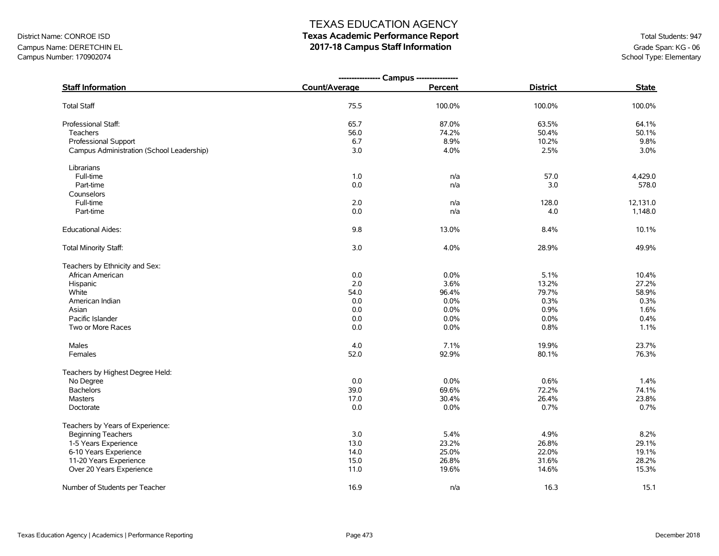# District Name: CONROE ISD **Texas Academic Performance Report Texas Academic Performance Report** Total Students: 947

Campus Name: DERETCHIN EL **2017-18 Campus Staff Information**<br>Campus Number: 170902074<br>School Type: Elementary Campus Number: 170902074

|                                           | ---------------- Campus ---------------- |         |                 |              |
|-------------------------------------------|------------------------------------------|---------|-----------------|--------------|
| <b>Staff Information</b>                  | Count/Average                            | Percent | <b>District</b> | <b>State</b> |
| <b>Total Staff</b>                        | 75.5                                     | 100.0%  | 100.0%          | 100.0%       |
| Professional Staff:                       | 65.7                                     | 87.0%   | 63.5%           | 64.1%        |
| Teachers                                  | 56.0                                     | 74.2%   | 50.4%           | 50.1%        |
| Professional Support                      | 6.7                                      | 8.9%    | 10.2%           | 9.8%         |
| Campus Administration (School Leadership) | 3.0                                      | 4.0%    | 2.5%            | 3.0%         |
| Librarians                                |                                          |         |                 |              |
| Full-time                                 | 1.0                                      | n/a     | 57.0            | 4,429.0      |
| Part-time                                 | $0.0\,$                                  | n/a     | 3.0             | 578.0        |
| Counselors                                |                                          |         |                 |              |
| Full-time                                 | 2.0                                      | n/a     | 128.0           | 12,131.0     |
| Part-time                                 | 0.0                                      | n/a     | 4.0             | 1,148.0      |
| <b>Educational Aides:</b>                 | 9.8                                      | 13.0%   | 8.4%            | 10.1%        |
| Total Minority Staff:                     | 3.0                                      | 4.0%    | 28.9%           | 49.9%        |
| Teachers by Ethnicity and Sex:            |                                          |         |                 |              |
| African American                          | 0.0                                      | 0.0%    | 5.1%            | 10.4%        |
| Hispanic                                  | 2.0                                      | 3.6%    | 13.2%           | 27.2%        |
| White                                     | 54.0                                     | 96.4%   | 79.7%           | 58.9%        |
| American Indian                           | 0.0                                      | 0.0%    | 0.3%            | 0.3%         |
| Asian                                     | 0.0                                      | 0.0%    | 0.9%            | 1.6%         |
| Pacific Islander                          | 0.0                                      | 0.0%    | 0.0%            | 0.4%         |
| Two or More Races                         | 0.0                                      | 0.0%    | 0.8%            | 1.1%         |
| Males                                     | 4.0                                      | 7.1%    | 19.9%           | 23.7%        |
| Females                                   | 52.0                                     | 92.9%   | 80.1%           | 76.3%        |
| Teachers by Highest Degree Held:          |                                          |         |                 |              |
| No Degree                                 | 0.0                                      | 0.0%    | 0.6%            | 1.4%         |
| <b>Bachelors</b>                          | 39.0                                     | 69.6%   | 72.2%           | 74.1%        |
| <b>Masters</b>                            | 17.0                                     | 30.4%   | 26.4%           | 23.8%        |
| Doctorate                                 | 0.0                                      | $0.0\%$ | 0.7%            | 0.7%         |
| Teachers by Years of Experience:          |                                          |         |                 |              |
| <b>Beginning Teachers</b>                 | 3.0                                      | 5.4%    | 4.9%            | 8.2%         |
| 1-5 Years Experience                      | 13.0                                     | 23.2%   | 26.8%           | 29.1%        |
| 6-10 Years Experience                     | 14.0                                     | 25.0%   | 22.0%           | 19.1%        |
| 11-20 Years Experience                    | 15.0                                     | 26.8%   | 31.6%           | 28.2%        |
| Over 20 Years Experience                  | 11.0                                     | 19.6%   | 14.6%           | 15.3%        |
| Number of Students per Teacher            | 16.9                                     | n/a     | 16.3            | 15.1         |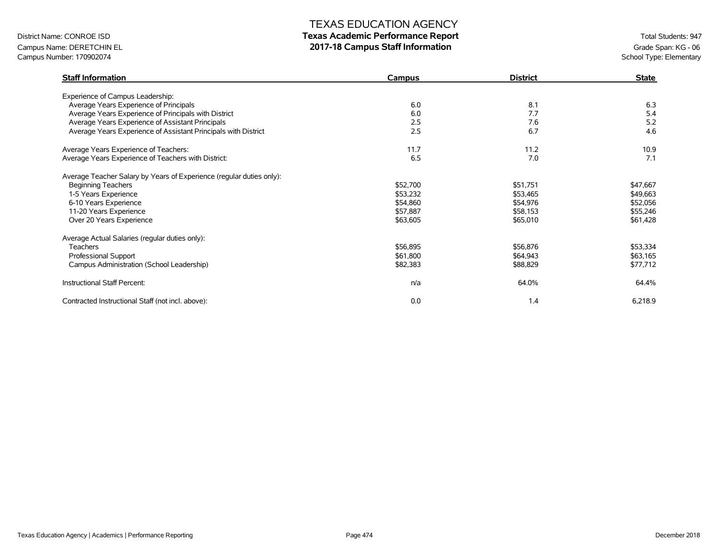# District Name: CONROE ISD **Texas Academic Performance Report Texas Academic Performance Report** Total Students: 947

Campus Name: DERETCHIN EL **2017-18 Campus Staff Information**<br>Campus Number: 170902074<br>School Type: Elementary Campus Number: 170902074

| <b>Staff Information</b>                                             | Campus   | <b>District</b> | <b>State</b> |
|----------------------------------------------------------------------|----------|-----------------|--------------|
| Experience of Campus Leadership:                                     |          |                 |              |
| Average Years Experience of Principals                               | 6.0      | 8.1             | 6.3          |
| Average Years Experience of Principals with District                 | 6.0      | 7.7             | 5.4          |
| Average Years Experience of Assistant Principals                     | 2.5      | 7.6             | 5.2          |
| Average Years Experience of Assistant Principals with District       | 2.5      | 6.7             | 4.6          |
| Average Years Experience of Teachers:                                | 11.7     | 11.2            | 10.9         |
| Average Years Experience of Teachers with District:                  | 6.5      | 7.0             | 7.1          |
| Average Teacher Salary by Years of Experience (regular duties only): |          |                 |              |
| <b>Beginning Teachers</b>                                            | \$52,700 | \$51,751        | \$47,667     |
| 1-5 Years Experience                                                 | \$53,232 | \$53,465        | \$49,663     |
| 6-10 Years Experience                                                | \$54,860 | \$54,976        | \$52,056     |
| 11-20 Years Experience                                               | \$57,887 | \$58,153        | \$55,246     |
| Over 20 Years Experience                                             | \$63,605 | \$65,010        | \$61,428     |
| Average Actual Salaries (regular duties only):                       |          |                 |              |
| <b>Teachers</b>                                                      | \$56,895 | \$56,876        | \$53,334     |
| Professional Support                                                 | \$61,800 | \$64,943        | \$63,165     |
| Campus Administration (School Leadership)                            | \$82,383 | \$88,829        | \$77,712     |
| Instructional Staff Percent:                                         | n/a      | 64.0%           | 64.4%        |
| Contracted Instructional Staff (not incl. above):                    | 0.0      | 1.4             | 6,218.9      |